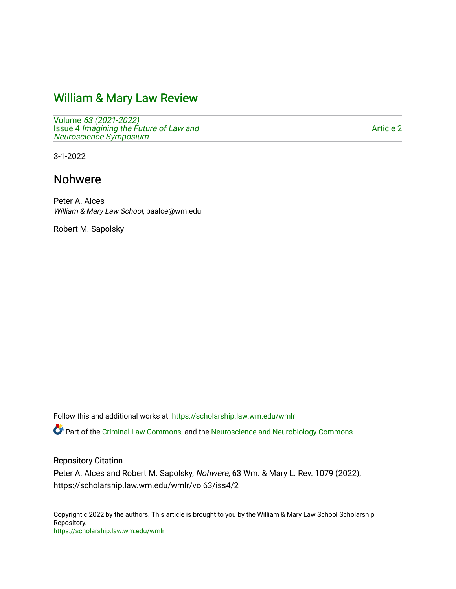# [William & Mary Law Review](https://scholarship.law.wm.edu/wmlr)

Volume [63 \(2021-2022\)](https://scholarship.law.wm.edu/wmlr/vol63)  Issue 4 [Imagining the Future of Law and](https://scholarship.law.wm.edu/wmlr/vol63/iss4)  [Neuroscience Symposium](https://scholarship.law.wm.edu/wmlr/vol63/iss4) 

[Article 2](https://scholarship.law.wm.edu/wmlr/vol63/iss4/2) 

3-1-2022

# Nohwere

Peter A. Alces William & Mary Law School, paalce@wm.edu

Robert M. Sapolsky

Follow this and additional works at: [https://scholarship.law.wm.edu/wmlr](https://scholarship.law.wm.edu/wmlr?utm_source=scholarship.law.wm.edu%2Fwmlr%2Fvol63%2Fiss4%2F2&utm_medium=PDF&utm_campaign=PDFCoverPages)

Part of the [Criminal Law Commons,](https://network.bepress.com/hgg/discipline/912?utm_source=scholarship.law.wm.edu%2Fwmlr%2Fvol63%2Fiss4%2F2&utm_medium=PDF&utm_campaign=PDFCoverPages) and the [Neuroscience and Neurobiology Commons](https://network.bepress.com/hgg/discipline/55?utm_source=scholarship.law.wm.edu%2Fwmlr%2Fvol63%2Fiss4%2F2&utm_medium=PDF&utm_campaign=PDFCoverPages) 

# Repository Citation

Peter A. Alces and Robert M. Sapolsky, Nohwere, 63 Wm. & Mary L. Rev. 1079 (2022), https://scholarship.law.wm.edu/wmlr/vol63/iss4/2

Copyright c 2022 by the authors. This article is brought to you by the William & Mary Law School Scholarship Repository. <https://scholarship.law.wm.edu/wmlr>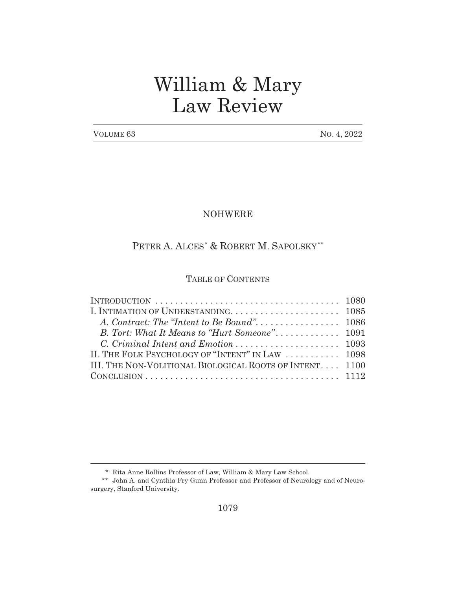# William & Mary Law Review

VOLUME 63 NO. 4, 2022

# NOHWERE

# PETER A. ALCES<sup>\*</sup> & ROBERT M. SAPOLSKY<sup>\*\*</sup>

# TABLE OF CONTENTS

| II. THE FOLK PSYCHOLOGY OF "INTENT" IN LAW  1098<br>III. THE NON-VOLITIONAL BIOLOGICAL ROOTS OF INTENT 1100<br>$CONCLUSION \ldots \ldots \ldots \ldots \ldots \ldots \ldots \ldots \ldots \ldots \ldots 1112$ | INTRODUCTION $\ldots \ldots \ldots \ldots \ldots \ldots \ldots \ldots \ldots \ldots \ldots \ldots 1080$ |  |
|---------------------------------------------------------------------------------------------------------------------------------------------------------------------------------------------------------------|---------------------------------------------------------------------------------------------------------|--|
|                                                                                                                                                                                                               |                                                                                                         |  |
|                                                                                                                                                                                                               |                                                                                                         |  |
|                                                                                                                                                                                                               |                                                                                                         |  |
|                                                                                                                                                                                                               |                                                                                                         |  |
|                                                                                                                                                                                                               |                                                                                                         |  |
|                                                                                                                                                                                                               |                                                                                                         |  |
|                                                                                                                                                                                                               |                                                                                                         |  |

<sup>\*</sup> Rita Anne Rollins Professor of Law, William & Mary Law School.

<sup>\*\*</sup> John A. and Cynthia Fry Gunn Professor and Professor of Neurology and of Neurosurgery, Stanford University.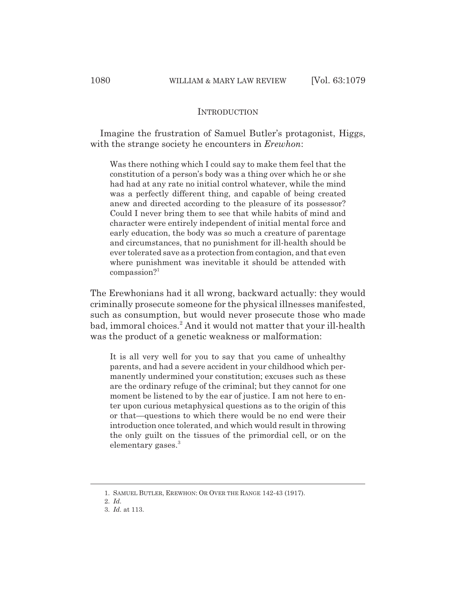### INTRODUCTION

Imagine the frustration of Samuel Butler's protagonist, Higgs, with the strange society he encounters in *Erewhon*:

Was there nothing which I could say to make them feel that the constitution of a person's body was a thing over which he or she had had at any rate no initial control whatever, while the mind was a perfectly different thing, and capable of being created anew and directed according to the pleasure of its possessor? Could I never bring them to see that while habits of mind and character were entirely independent of initial mental force and early education, the body was so much a creature of parentage and circumstances, that no punishment for ill-health should be ever tolerated save as a protection from contagion, and that even where punishment was inevitable it should be attended with compassion?<sup>1</sup>

The Erewhonians had it all wrong, backward actually: they would criminally prosecute someone for the physical illnesses manifested, such as consumption, but would never prosecute those who made bad, immoral choices.<sup>2</sup> And it would not matter that your ill-health was the product of a genetic weakness or malformation:

It is all very well for you to say that you came of unhealthy parents, and had a severe accident in your childhood which permanently undermined your constitution; excuses such as these are the ordinary refuge of the criminal; but they cannot for one moment be listened to by the ear of justice. I am not here to enter upon curious metaphysical questions as to the origin of this or that—questions to which there would be no end were their introduction once tolerated, and which would result in throwing the only guilt on the tissues of the primordial cell, or on the elementary gases.<sup>3</sup>

<sup>1.</sup> SAMUEL BUTLER, EREWHON: OR OVER THE RANGE 142-43 (1917).

<sup>2.</sup> *Id.*

<sup>3.</sup> *Id.* at 113.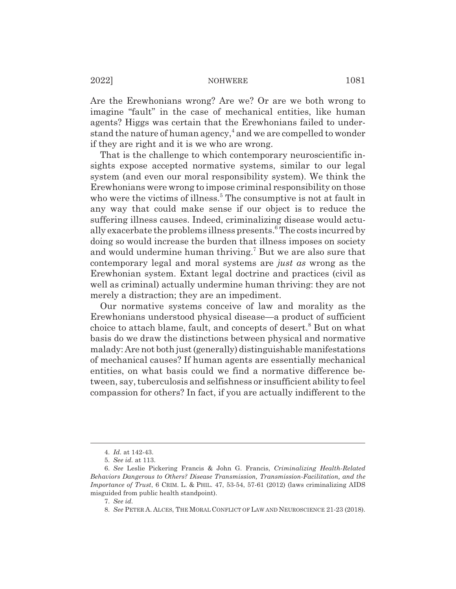Are the Erewhonians wrong? Are we? Or are we both wrong to imagine "fault" in the case of mechanical entities, like human agents? Higgs was certain that the Erewhonians failed to understand the nature of human agency, $^4$  and we are compelled to wonder if they are right and it is we who are wrong.

That is the challenge to which contemporary neuroscientific insights expose accepted normative systems, similar to our legal system (and even our moral responsibility system). We think the Erewhonians were wrong to impose criminal responsibility on those who were the victims of illness.<sup>5</sup> The consumptive is not at fault in any way that could make sense if our object is to reduce the suffering illness causes. Indeed, criminalizing disease would actually exacerbate the problems illness presents.<sup>6</sup> The costs incurred by doing so would increase the burden that illness imposes on society and would undermine human thriving.<sup>7</sup> But we are also sure that contemporary legal and moral systems are *just as* wrong as the Erewhonian system. Extant legal doctrine and practices (civil as well as criminal) actually undermine human thriving: they are not merely a distraction; they are an impediment.

Our normative systems conceive of law and morality as the Erewhonians understood physical disease—a product of sufficient choice to attach blame, fault, and concepts of desert.<sup>8</sup> But on what basis do we draw the distinctions between physical and normative malady: Are not both just (generally) distinguishable manifestations of mechanical causes? If human agents are essentially mechanical entities, on what basis could we find a normative difference between, say, tuberculosis and selfishness or insufficient ability to feel compassion for others? In fact, if you are actually indifferent to the

<sup>4.</sup> *Id.* at 142-43.

<sup>5.</sup> *See id.* at 113.

<sup>6.</sup> *See* Leslie Pickering Francis & John G. Francis, *Criminalizing Health-Related Behaviors Dangerous to Others? Disease Transmission, Transmission-Facilitation, and the Importance of Trust*, 6 CRIM. L. & PHIL. 47, 53-54, 57-61 (2012) (laws criminalizing AIDS misguided from public health standpoint).

<sup>7.</sup> *See id.*

<sup>8.</sup> *See* PETER A. ALCES, THE MORAL CONFLICT OF LAW AND NEUROSCIENCE 21-23 (2018).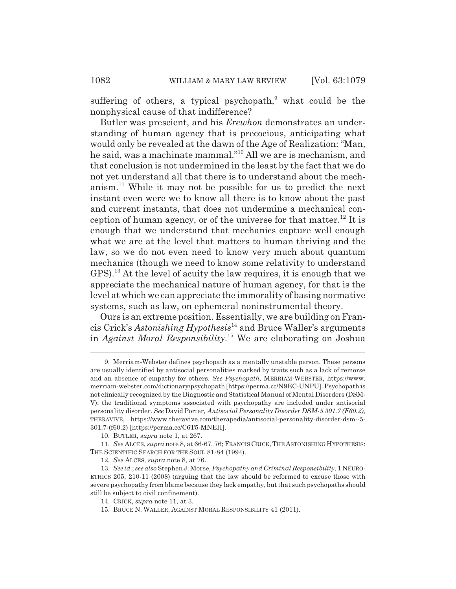suffering of others, a typical psychopath,<sup>9</sup> what could be the nonphysical cause of that indifference?

Butler was prescient, and his *Erewhon* demonstrates an understanding of human agency that is precocious, anticipating what would only be revealed at the dawn of the Age of Realization: "Man, he said, was a machinate mammal."10 All we are is mechanism, and that conclusion is not undermined in the least by the fact that we do not yet understand all that there is to understand about the mechanism.11 While it may not be possible for us to predict the next instant even were we to know all there is to know about the past and current instants, that does not undermine a mechanical conception of human agency, or of the universe for that matter.<sup>12</sup> It is enough that we understand that mechanics capture well enough what we are at the level that matters to human thriving and the law, so we do not even need to know very much about quantum mechanics (though we need to know some relativity to understand GPS).13 At the level of acuity the law requires, it is enough that we appreciate the mechanical nature of human agency, for that is the level at which we can appreciate the immorality of basing normative systems, such as law, on ephemeral noninstrumental theory.

Ours is an extreme position. Essentially, we are building on Francis Crick's *Astonishing Hypothesis*14 and Bruce Waller's arguments in *Against Moral Responsibility*. 15 We are elaborating on Joshua

<sup>9.</sup> Merriam-Webster defines psychopath as a mentally unstable person. These persons are usually identified by antisocial personalities marked by traits such as a lack of remorse and an absence of empathy for others. *See Psychopath*, MERRIAM-WEBSTER, https://www. merriam-webster.com/dictionary/psychopath [https://perma.cc/N9EC-UNPU]. Psychopath is not clinically recognized by the Diagnostic and Statistical Manual of Mental Disorders (DSM-V); the traditional symptoms associated with psychopathy are included under antisocial personality disorder. *See* David Porter, *Antisocial Personality Disorder DSM-5 301.7 (F60.2)*, THERAVIVE, https://www.theravive.com/therapedia/antisocial-personality-disorder-dsm--5- 301.7-(f60.2) [https://perma.cc/C6T5-MNEH].

<sup>10.</sup> BUTLER, *supra* note 1, at 267.

<sup>11.</sup> *See* ALCES, *supra* note 8, at 66-67, 76; FRANCIS CRICK, THE ASTONISHING HYPOTHESIS: THE SCIENTIFIC SEARCH FOR THE SOUL 81-84 (1994).

<sup>12.</sup> *See* ALCES, *supra* note 8, at 76.

<sup>13.</sup> *See id.*; *see also* Stephen J. Morse, *Psychopathy and Criminal Responsibility*, 1 NEURO-ETHICS 205, 210-11 (2008) (arguing that the law should be reformed to excuse those with severe psychopathy from blame because they lack empathy, but that such psychopaths should still be subject to civil confinement).

<sup>14.</sup> CRICK, *supra* note 11, at 3.

<sup>15.</sup> BRUCE N. WALLER, AGAINST MORAL RESPONSIBILITY 41 (2011).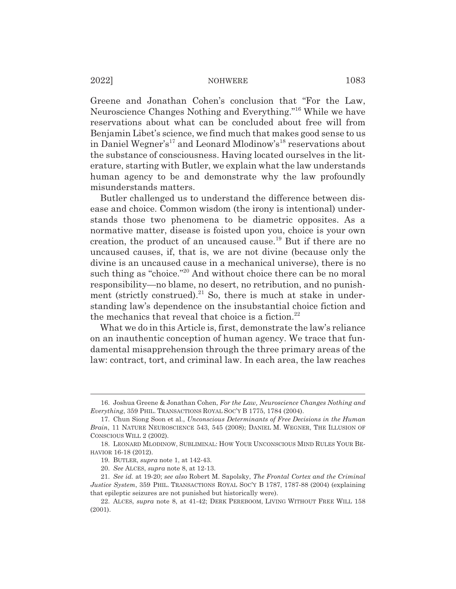Greene and Jonathan Cohen's conclusion that "For the Law, Neuroscience Changes Nothing and Everything."16 While we have reservations about what can be concluded about free will from Benjamin Libet's science, we find much that makes good sense to us in Daniel Wegner's<sup>17</sup> and Leonard Mlodinow's<sup>18</sup> reservations about the substance of consciousness. Having located ourselves in the literature, starting with Butler, we explain what the law understands human agency to be and demonstrate why the law profoundly misunderstands matters.

Butler challenged us to understand the difference between disease and choice. Common wisdom (the irony is intentional) understands those two phenomena to be diametric opposites. As a normative matter, disease is foisted upon you, choice is your own creation, the product of an uncaused cause.<sup>19</sup> But if there are no uncaused causes, if, that is, we are not divine (because only the divine is an uncaused cause in a mechanical universe), there is no such thing as "choice."<sup>20</sup> And without choice there can be no moral responsibility—no blame, no desert, no retribution, and no punishment (strictly construed).<sup>21</sup> So, there is much at stake in understanding law's dependence on the insubstantial choice fiction and the mechanics that reveal that choice is a fiction.<sup>22</sup>

What we do in this Article is, first, demonstrate the law's reliance on an inauthentic conception of human agency. We trace that fundamental misapprehension through the three primary areas of the law: contract, tort, and criminal law. In each area, the law reaches

<sup>16.</sup> Joshua Greene & Jonathan Cohen, *For the Law, Neuroscience Changes Nothing and Everything*, 359 PHIL. TRANSACTIONS ROYAL SOC'Y B 1775, 1784 (2004).

<sup>17.</sup> Chun Siong Soon et al., *Unconscious Determinants of Free Decisions in the Human Brain*, 11 NATURE NEUROSCIENCE 543, 545 (2008); DANIEL M. WEGNER, THE ILLUSION OF CONSCIOUS WILL 2 (2002).

<sup>18.</sup> LEONARD MLODINOW, SUBLIMINAL: HOW YOUR UNCONSCIOUS MIND RULES YOUR BE-HAVIOR 16-18 (2012).

<sup>19.</sup> BUTLER, *supra* note 1, at 142-43.

<sup>20.</sup> *See* ALCES, *supra* note 8, at 12-13.

<sup>21.</sup> *See id.* at 19-20; *see also* Robert M. Sapolsky, *The Frontal Cortex and the Criminal Justice System*, 359 PHIL. TRANSACTIONS ROYAL SOC'Y B 1787, 1787-88 (2004) (explaining that epileptic seizures are not punished but historically were).

<sup>22.</sup> ALCES, *supra* note 8, at 41-42; DERK PEREBOOM, LIVING WITHOUT FREE WILL 158 (2001).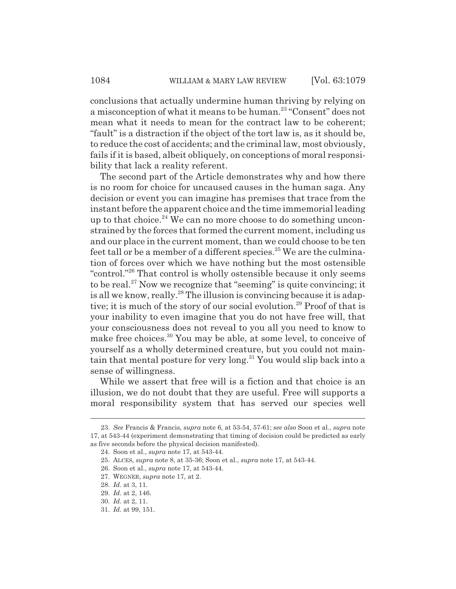conclusions that actually undermine human thriving by relying on a misconception of what it means to be human.23 "Consent" does not mean what it needs to mean for the contract law to be coherent; "fault" is a distraction if the object of the tort law is, as it should be, to reduce the cost of accidents; and the criminal law, most obviously, fails if it is based, albeit obliquely, on conceptions of moral responsibility that lack a reality referent.

The second part of the Article demonstrates why and how there is no room for choice for uncaused causes in the human saga. Any decision or event you can imagine has premises that trace from the instant before the apparent choice and the time immemorial leading up to that choice.<sup>24</sup> We can no more choose to do something unconstrained by the forces that formed the current moment, including us and our place in the current moment, than we could choose to be ten feet tall or be a member of a different species.<sup>25</sup> We are the culmination of forces over which we have nothing but the most ostensible "control."26 That control is wholly ostensible because it only seems to be real.<sup>27</sup> Now we recognize that "seeming" is quite convincing; it is all we know, really.<sup>28</sup> The illusion is convincing because it is adaptive; it is much of the story of our social evolution.<sup>29</sup> Proof of that is your inability to even imagine that you do not have free will, that your consciousness does not reveal to you all you need to know to make free choices.<sup>30</sup> You may be able, at some level, to conceive of yourself as a wholly determined creature, but you could not maintain that mental posture for very long.31 You would slip back into a sense of willingness.

While we assert that free will is a fiction and that choice is an illusion, we do not doubt that they are useful. Free will supports a moral responsibility system that has served our species well

<sup>23.</sup> *See* Francis & Francis, *supra* note 6, at 53-54, 57-61; *see also* Soon et al., *supra* note 17, at 543-44 (experiment demonstrating that timing of decision could be predicted as early as five seconds before the physical decision manifested).

<sup>24.</sup> Soon et al., *supra* note 17, at 543-44.

<sup>25.</sup> ALCES, *supra* note 8, at 35-36; Soon et al., *supra* note 17, at 543-44.

<sup>26.</sup> Soon et al., *supra* note 17, at 543-44.

<sup>27.</sup> WEGNER, *supra* note 17, at 2.

<sup>28.</sup> *Id.* at 3, 11.

<sup>29.</sup> *Id.* at 2, 146.

<sup>30.</sup> *Id.* at 2, 11.

<sup>31.</sup> *Id.* at 99, 151.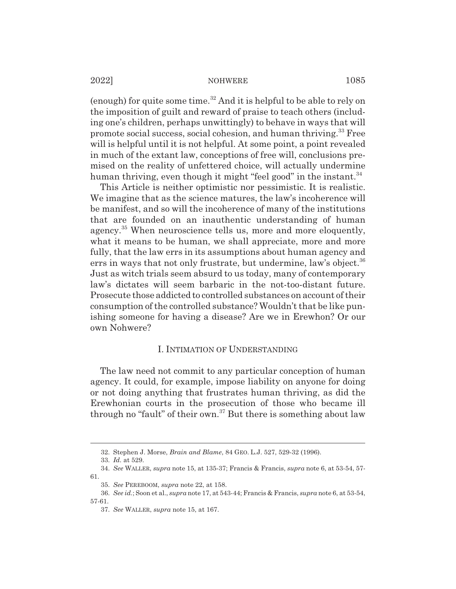(enough) for quite some time.<sup>32</sup> And it is helpful to be able to rely on the imposition of guilt and reward of praise to teach others (including one's children, perhaps unwittingly) to behave in ways that will promote social success, social cohesion, and human thriving.33 Free will is helpful until it is not helpful. At some point, a point revealed in much of the extant law, conceptions of free will, conclusions premised on the reality of unfettered choice, will actually undermine human thriving, even though it might "feel good" in the instant. $34$ 

This Article is neither optimistic nor pessimistic. It is realistic. We imagine that as the science matures, the law's incoherence will be manifest, and so will the incoherence of many of the institutions that are founded on an inauthentic understanding of human agency.<sup>35</sup> When neuroscience tells us, more and more eloquently, what it means to be human, we shall appreciate, more and more fully, that the law errs in its assumptions about human agency and errs in ways that not only frustrate, but undermine, law's object.<sup>36</sup> Just as witch trials seem absurd to us today, many of contemporary law's dictates will seem barbaric in the not-too-distant future. Prosecute those addicted to controlled substances on account of their consumption of the controlled substance? Wouldn't that be like punishing someone for having a disease? Are we in Erewhon? Or our own Nohwere?

# I. INTIMATION OF UNDERSTANDING

The law need not commit to any particular conception of human agency. It could, for example, impose liability on anyone for doing or not doing anything that frustrates human thriving, as did the Erewhonian courts in the prosecution of those who became ill through no "fault" of their own. $37$  But there is something about law

<sup>32.</sup> Stephen J. Morse, *Brain and Blame*, 84 GEO. L.J. 527, 529-32 (1996).

<sup>33.</sup> *Id.* at 529.

<sup>34.</sup> *See* WALLER, *supra* note 15, at 135-37; Francis & Francis, *supra* note 6, at 53-54, 57- 61.

<sup>35.</sup> *See* PEREBOOM, *supra* note 22, at 158.

<sup>36.</sup> *See id.*; Soon et al., *supra* note 17, at 543-44; Francis & Francis, *supra* note 6, at 53-54, 57-61.

<sup>37.</sup> *See* WALLER, *supra* note 15, at 167.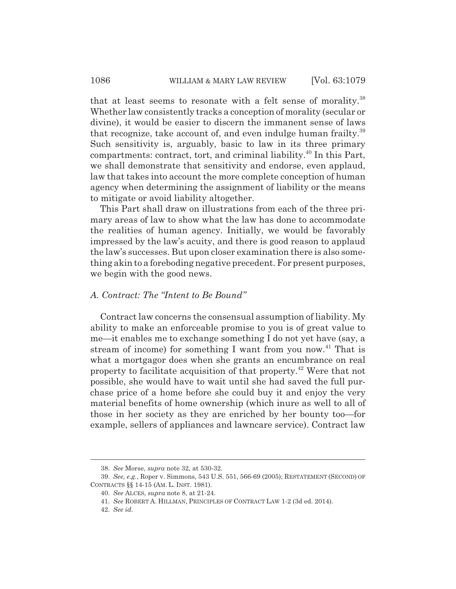that at least seems to resonate with a felt sense of morality.<sup>38</sup> Whether law consistently tracks a conception of morality (secular or divine), it would be easier to discern the immanent sense of laws that recognize, take account of, and even indulge human frailty.<sup>39</sup> Such sensitivity is, arguably, basic to law in its three primary compartments: contract, tort, and criminal liability.<sup>40</sup> In this Part, we shall demonstrate that sensitivity and endorse, even applaud, law that takes into account the more complete conception of human agency when determining the assignment of liability or the means to mitigate or avoid liability altogether.

This Part shall draw on illustrations from each of the three primary areas of law to show what the law has done to accommodate the realities of human agency. Initially, we would be favorably impressed by the law's acuity, and there is good reason to applaud the law's successes. But upon closer examination there is also something akin to a foreboding negative precedent. For present purposes, we begin with the good news.

# *A. Contract: The "Intent to Be Bound"*

Contract law concerns the consensual assumption of liability. My ability to make an enforceable promise to you is of great value to me—it enables me to exchange something I do not yet have (say, a stream of income) for something I want from you now.<sup>41</sup> That is what a mortgagor does when she grants an encumbrance on real property to facilitate acquisition of that property.42 Were that not possible, she would have to wait until she had saved the full purchase price of a home before she could buy it and enjoy the very material benefits of home ownership (which inure as well to all of those in her society as they are enriched by her bounty too—for example, sellers of appliances and lawncare service). Contract law

<sup>38.</sup> *See* Morse, *supra* note 32, at 530-32.

<sup>39.</sup> *See, e.g.*, Roper v. Simmons, 543 U.S. 551, 566-69 (2005); RESTATEMENT (SECOND) OF CONTRACTS §§ 14-15 (AM. L. INST. 1981).

<sup>40.</sup> *See* ALCES, *supra* note 8, at 21-24.

<sup>41.</sup> *See* ROBERT A. HILLMAN, PRINCIPLES OF CONTRACT LAW 1-2 (3d ed. 2014).

<sup>42.</sup> *See id.*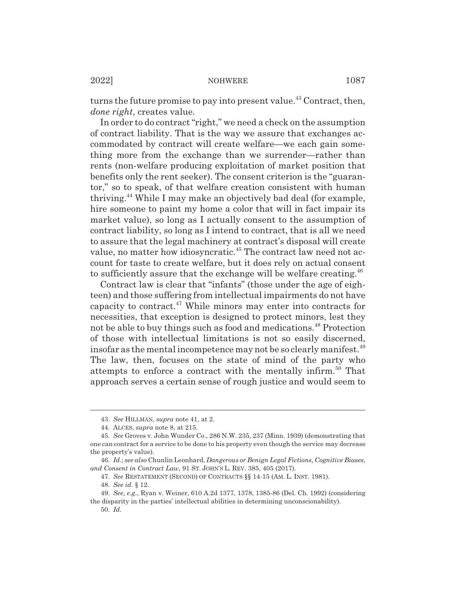turns the future promise to pay into present value.<sup>43</sup> Contract, then, *done right*, creates value.

In order to do contract "right," we need a check on the assumption of contract liability. That is the way we assure that exchanges accommodated by contract will create welfare—we each gain something more from the exchange than we surrender—rather than rents (non-welfare producing exploitation of market position that benefits only the rent seeker). The consent criterion is the "guarantor," so to speak, of that welfare creation consistent with human thriving.44 While I may make an objectively bad deal (for example, hire someone to paint my home a color that will in fact impair its market value), so long as I actually consent to the assumption of contract liability, so long as I intend to contract, that is all we need to assure that the legal machinery at contract's disposal will create value, no matter how idiosyncratic.<sup>45</sup> The contract law need not account for taste to create welfare, but it does rely on actual consent to sufficiently assure that the exchange will be welfare creating.<sup>46</sup>

Contract law is clear that "infants" (those under the age of eighteen) and those suffering from intellectual impairments do not have capacity to contract.47 While minors may enter into contracts for necessities, that exception is designed to protect minors, lest they not be able to buy things such as food and medications.<sup>48</sup> Protection of those with intellectual limitations is not so easily discerned, insofar as the mental incompetence may not be so clearly manifest.<sup>49</sup> The law, then, focuses on the state of mind of the party who attempts to enforce a contract with the mentally infirm.<sup>50</sup> That approach serves a certain sense of rough justice and would seem to

<sup>43.</sup> *See* HILLMAN, *supra* note 41, at 2.

<sup>44.</sup> ALCES, *supra* note 8, at 215.

<sup>45.</sup> *See* Groves v. John Wunder Co., 286 N.W. 235, 237 (Minn. 1939) (demonstrating that one can contract for a service to be done to his property even though the service may decrease the property's value).

<sup>46.</sup> *Id.*; *see also* Chunlin Leonhard, *Dangerous or Benign Legal Fictions, Cognitive Biases, and Consent in Contract Law*, 91 ST. JOHN'S L. REV. 385, 405 (2017).

<sup>47.</sup> *See* RESTATEMENT (SECOND) OF CONTRACTS §§ 14-15 (AM. L. INST. 1981).

<sup>48.</sup> *See id.* § 12.

<sup>49.</sup> *See, e.g.*, Ryan v. Weiner, 610 A.2d 1377, 1378, 1385-86 (Del. Ch. 1992) (considering the disparity in the parties' intellectual abilities in determining unconscionability). 50. *Id.*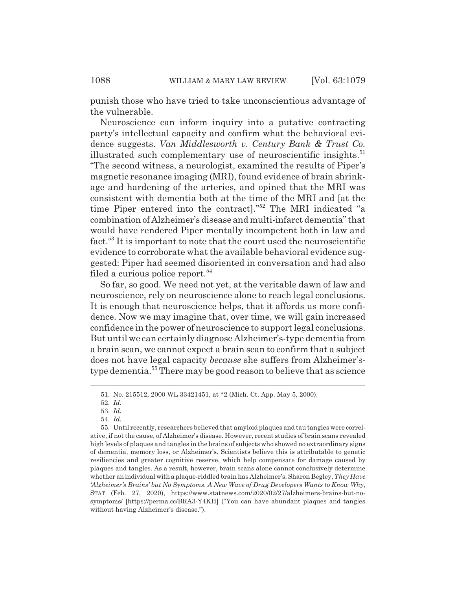punish those who have tried to take unconscientious advantage of the vulnerable.

Neuroscience can inform inquiry into a putative contracting party's intellectual capacity and confirm what the behavioral evidence suggests. *Van Middlesworth v. Century Bank & Trust Co.* illustrated such complementary use of neuroscientific insights.<sup>51</sup> "The second witness, a neurologist, examined the results of Piper's magnetic resonance imaging (MRI), found evidence of brain shrinkage and hardening of the arteries, and opined that the MRI was consistent with dementia both at the time of the MRI and [at the time Piper entered into the contract]."52 The MRI indicated "a combination of Alzheimer's disease and multi-infarct dementia" that would have rendered Piper mentally incompetent both in law and fact.53 It is important to note that the court used the neuroscientific evidence to corroborate what the available behavioral evidence suggested: Piper had seemed disoriented in conversation and had also filed a curious police report. $54$ 

So far, so good. We need not yet, at the veritable dawn of law and neuroscience, rely on neuroscience alone to reach legal conclusions. It is enough that neuroscience helps, that it affords us more confidence. Now we may imagine that, over time, we will gain increased confidence in the power of neuroscience to support legal conclusions. But until we can certainly diagnose Alzheimer's-type dementia from a brain scan, we cannot expect a brain scan to confirm that a subject does not have legal capacity *because* she suffers from Alzheimer'stype dementia.<sup>55</sup> There may be good reason to believe that as science

<sup>51.</sup> No. 215512, 2000 WL 33421451, at \*2 (Mich. Ct. App. May 5, 2000).

<sup>52.</sup> *Id.*

<sup>53.</sup> *Id.*

<sup>54.</sup> *Id.*

<sup>55.</sup> Until recently, researchers believed that amyloid plaques and tau tangles were correlative, if not the cause, of Alzheimer's disease. However, recent studies of brain scans revealed high levels of plaques and tangles in the brains of subjects who showed no extraordinary signs of dementia, memory loss, or Alzheimer's. Scientists believe this is attributable to genetic resiliencies and greater cognitive reserve, which help compensate for damage caused by plaques and tangles. As a result, however, brain scans alone cannot conclusively determine whether an individual with a plaque-riddled brain has Alzheimer's. Sharon Begley, *They Have 'Alzheimer's Brains' but No Symptoms. A New Wave of Drug Developers Wants to Know Why*, STAT (Feb. 27, 2020), https://www.statnews.com/2020/02/27/alzheimers-brains-but-nosymptoms/ [https://perma.cc/BRA3-Y4KH] ("You can have abundant plaques and tangles without having Alzheimer's disease.").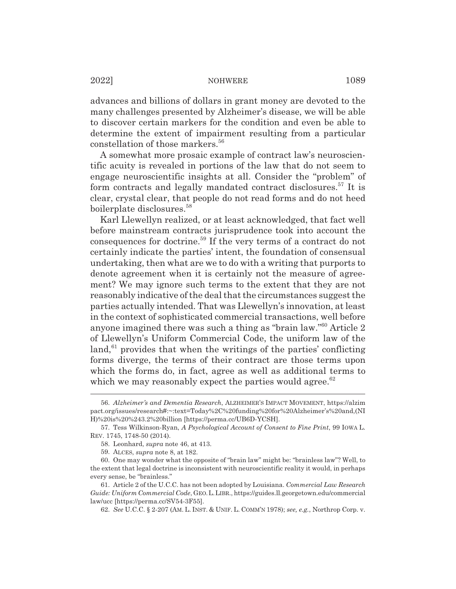advances and billions of dollars in grant money are devoted to the many challenges presented by Alzheimer's disease, we will be able to discover certain markers for the condition and even be able to determine the extent of impairment resulting from a particular constellation of those markers.<sup>56</sup>

A somewhat more prosaic example of contract law's neuroscientific acuity is revealed in portions of the law that do not seem to engage neuroscientific insights at all. Consider the "problem" of form contracts and legally mandated contract disclosures.<sup>57</sup> It is clear, crystal clear, that people do not read forms and do not heed boilerplate disclosures.<sup>58</sup>

Karl Llewellyn realized, or at least acknowledged, that fact well before mainstream contracts jurisprudence took into account the consequences for doctrine.59 If the very terms of a contract do not certainly indicate the parties' intent, the foundation of consensual undertaking, then what are we to do with a writing that purports to denote agreement when it is certainly not the measure of agreement? We may ignore such terms to the extent that they are not reasonably indicative of the deal that the circumstances suggest the parties actually intended. That was Llewellyn's innovation, at least in the context of sophisticated commercial transactions, well before anyone imagined there was such a thing as "brain law."60 Article 2 of Llewellyn's Uniform Commercial Code, the uniform law of the  $\lambda^{61}$  provides that when the writings of the parties' conflicting forms diverge, the terms of their contract are those terms upon which the forms do, in fact, agree as well as additional terms to which we may reasonably expect the parties would agree. $62$ 

62. *See* U.C.C. § 2-207 (AM. L. INST.&UNIF. L. COMM'N 1978); *see, e.g.*, Northrop Corp. v.

<sup>56.</sup> *Alzheimer's and Dementia Research*, ALZHEIMER'S IMPACT MOVEMENT, https://alzim pact.org/issues/research#:~:text=Today%2C%20funding%20for%20Alzheimer's%20and,(NI H)%20is%20%243.2%20billion [https://perma.cc/UB6D-YCSH].

<sup>57.</sup> Tess Wilkinson-Ryan, *A Psychological Account of Consent to Fine Print*, 99 IOWA L. REV. 1745, 1748-50 (2014).

<sup>58.</sup> Leonhard, *supra* note 46, at 413.

<sup>59.</sup> ALCES, *supra* note 8, at 182.

<sup>60.</sup> One may wonder what the opposite of "brain law" might be: "brainless law"? Well, to the extent that legal doctrine is inconsistent with neuroscientific reality it would, in perhaps every sense, be "brainless."

<sup>61.</sup> Article 2 of the U.C.C. has not been adopted by Louisiana. *Commercial Law Research Guide: Uniform Commercial Code*, GEO.L.LIBR., https://guides.ll.georgetown.edu/commercial law/ucc [https://perma.cc/SV54-3F55].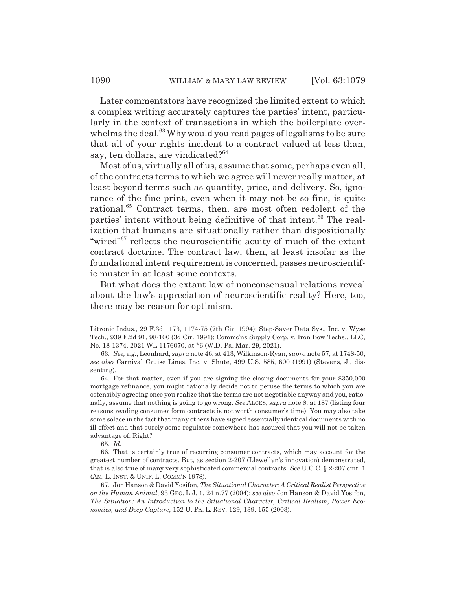Later commentators have recognized the limited extent to which a complex writing accurately captures the parties' intent, particularly in the context of transactions in which the boilerplate overwhelms the deal.<sup>63</sup> Why would you read pages of legalisms to be sure that all of your rights incident to a contract valued at less than, say, ten dollars, are vindicated?<sup>64</sup>

Most of us, virtually all of us, assume that some, perhaps even all, of the contracts terms to which we agree will never really matter, at least beyond terms such as quantity, price, and delivery. So, ignorance of the fine print, even when it may not be so fine, is quite rational.<sup>65</sup> Contract terms, then, are most often redolent of the parties' intent without being definitive of that intent.<sup>66</sup> The realization that humans are situationally rather than dispositionally "wired"<sup>67</sup> reflects the neuroscientific acuity of much of the extant contract doctrine. The contract law, then, at least insofar as the foundational intent requirement is concerned, passes neuroscientific muster in at least some contexts.

But what does the extant law of nonconsensual relations reveal about the law's appreciation of neuroscientific reality? Here, too, there may be reason for optimism.

Litronic Indus., 29 F.3d 1173, 1174-75 (7th Cir. 1994); Step-Saver Data Sys., Inc. v. Wyse Tech., 939 F.2d 91, 98-100 (3d Cir. 1991); Commc'ns Supply Corp. v. Iron Bow Techs., LLC, No. 18-1374, 2021 WL 1176070, at \*6 (W.D. Pa. Mar. 29, 2021).

<sup>63.</sup> *See, e.g.*, Leonhard, *supra* note 46, at 413; Wilkinson-Ryan, *supra* note 57, at 1748-50; *see also* Carnival Cruise Lines, Inc. v. Shute, 499 U.S. 585, 600 (1991) (Stevens, J., dissenting).

<sup>64.</sup> For that matter, even if you are signing the closing documents for your \$350,000 mortgage refinance, you might rationally decide not to peruse the terms to which you are ostensibly agreeing once you realize that the terms are not negotiable anyway and you, rationally, assume that nothing is going to go wrong. *See* ALCES, *supra* note 8, at 187 (listing four reasons reading consumer form contracts is not worth consumer's time). You may also take some solace in the fact that many others have signed essentially identical documents with no ill effect and that surely some regulator somewhere has assured that you will not be taken advantage of. Right?

<sup>65.</sup> *Id.*

<sup>66.</sup> That is certainly true of recurring consumer contracts, which may account for the greatest number of contracts. But, as section 2-207 (Llewellyn's innovation) demonstrated, that is also true of many very sophisticated commercial contracts. *See* U.C.C. § 2-207 cmt. 1 (AM. L. INST.&UNIF. L. COMM'N 1978).

<sup>67.</sup> Jon Hanson & David Yosifon, *The Situational Character: A Critical Realist Perspective on the Human Animal*, 93 GEO. L.J. 1, 24 n.77 (2004); *see also* Jon Hanson & David Yosifon, *The Situation: An Introduction to the Situational Character, Critical Realism, Power Economics, and Deep Capture*, 152 U. PA. L. REV. 129, 139, 155 (2003).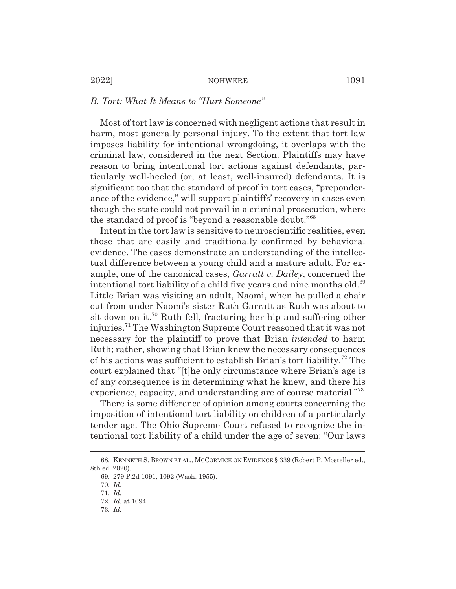# *B. Tort: What It Means to "Hurt Someone"*

Most of tort law is concerned with negligent actions that result in harm, most generally personal injury. To the extent that tort law imposes liability for intentional wrongdoing, it overlaps with the criminal law, considered in the next Section. Plaintiffs may have reason to bring intentional tort actions against defendants, particularly well-heeled (or, at least, well-insured) defendants. It is significant too that the standard of proof in tort cases, "preponderance of the evidence," will support plaintiffs' recovery in cases even though the state could not prevail in a criminal prosecution, where the standard of proof is "beyond a reasonable doubt."68

Intent in the tort law is sensitive to neuroscientific realities, even those that are easily and traditionally confirmed by behavioral evidence. The cases demonstrate an understanding of the intellectual difference between a young child and a mature adult. For example, one of the canonical cases, *Garratt v. Dailey*, concerned the intentional tort liability of a child five years and nine months old.<sup>69</sup> Little Brian was visiting an adult, Naomi, when he pulled a chair out from under Naomi's sister Ruth Garratt as Ruth was about to sit down on it.<sup>70</sup> Ruth fell, fracturing her hip and suffering other injuries.71 The Washington Supreme Court reasoned that it was not necessary for the plaintiff to prove that Brian *intended* to harm Ruth; rather, showing that Brian knew the necessary consequences of his actions was sufficient to establish Brian's tort liability.72 The court explained that "[t]he only circumstance where Brian's age is of any consequence is in determining what he knew, and there his experience, capacity, and understanding are of course material."73

There is some difference of opinion among courts concerning the imposition of intentional tort liability on children of a particularly tender age. The Ohio Supreme Court refused to recognize the intentional tort liability of a child under the age of seven: "Our laws

<sup>68.</sup> KENNETH S. BROWN ET AL., MCCORMICK ON EVIDENCE § 339 (Robert P. Mosteller ed., 8th ed. 2020).

<sup>69. 279</sup> P.2d 1091, 1092 (Wash. 1955).

<sup>70.</sup> *Id.*

<sup>71.</sup> *Id.*

<sup>72.</sup> *Id.* at 1094.

<sup>73.</sup> *Id.*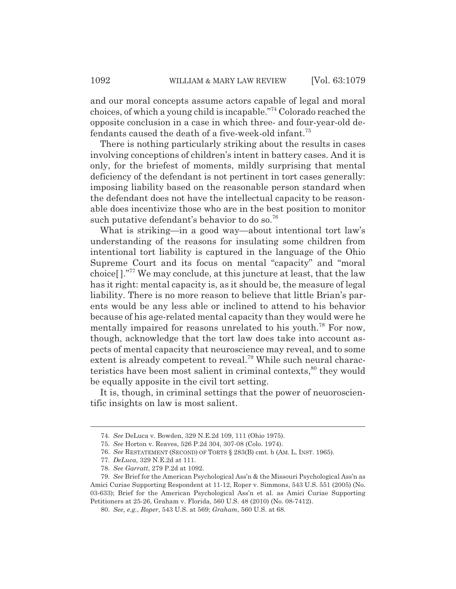and our moral concepts assume actors capable of legal and moral choices, of which a young child is incapable."74 Colorado reached the opposite conclusion in a case in which three- and four-year-old defendants caused the death of a five-week-old infant.<sup>75</sup>

There is nothing particularly striking about the results in cases involving conceptions of children's intent in battery cases. And it is only, for the briefest of moments, mildly surprising that mental deficiency of the defendant is not pertinent in tort cases generally: imposing liability based on the reasonable person standard when the defendant does not have the intellectual capacity to be reasonable does incentivize those who are in the best position to monitor such putative defendant's behavior to do so.<sup>76</sup>

What is striking—in a good way—about intentional tort law's understanding of the reasons for insulating some children from intentional tort liability is captured in the language of the Ohio Supreme Court and its focus on mental "capacity" and "moral choice[ ]."77 We may conclude, at this juncture at least, that the law has it right: mental capacity is, as it should be, the measure of legal liability. There is no more reason to believe that little Brian's parents would be any less able or inclined to attend to his behavior because of his age-related mental capacity than they would were he mentally impaired for reasons unrelated to his youth.<sup>78</sup> For now, though, acknowledge that the tort law does take into account aspects of mental capacity that neuroscience may reveal, and to some extent is already competent to reveal.<sup>79</sup> While such neural characteristics have been most salient in criminal contexts,<sup>80</sup> they would be equally apposite in the civil tort setting.

It is, though, in criminal settings that the power of neuoroscientific insights on law is most salient.

<sup>74.</sup> *See* DeLuca v. Bowden, 329 N.E.2d 109, 111 (Ohio 1975).

<sup>75.</sup> *See* Horton v. Reaves, 526 P.2d 304, 307-08 (Colo. 1974).

<sup>76.</sup> *See* RESTATEMENT (SECOND) OF TORTS § 283(B) cmt. b (AM. L. INST. 1965).

<sup>77.</sup> *DeLuca*, 329 N.E.2d at 111.

<sup>78.</sup> *See Garratt*, 279 P.2d at 1092.

<sup>79.</sup> *See* Brief for the American Psychological Ass'n & the Missouri Psychological Ass'n as Amici Curiae Supporting Respondent at 11-12, Roper v. Simmons, 543 U.S. 551 (2005) (No. 03-633); Brief for the American Psychological Ass'n et al. as Amici Curiae Supporting Petitioners at 25-26, Graham v. Florida, 560 U.S. 48 (2010) (No. 08-7412).

<sup>80.</sup> *See, e.g.*, *Roper*, 543 U.S. at 569; *Graham*, 560 U.S. at 68.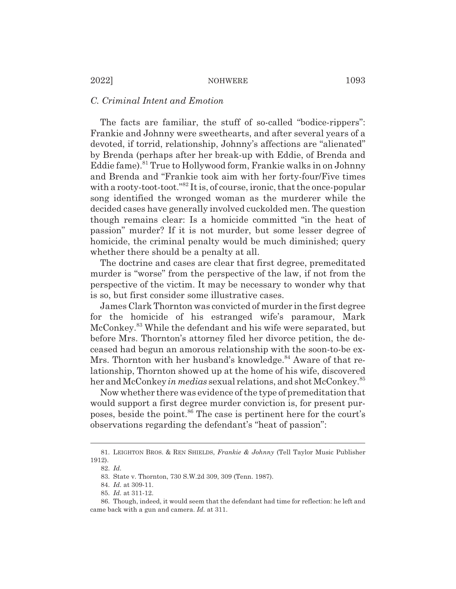# *C. Criminal Intent and Emotion*

The facts are familiar, the stuff of so-called "bodice-rippers": Frankie and Johnny were sweethearts, and after several years of a devoted, if torrid, relationship, Johnny's affections are "alienated" by Brenda (perhaps after her break-up with Eddie, of Brenda and Eddie fame).81 True to Hollywood form, Frankie walks in on Johnny and Brenda and "Frankie took aim with her forty-four/Five times with a rooty-toot-toot."<sup>82</sup> It is, of course, ironic, that the once-popular song identified the wronged woman as the murderer while the decided cases have generally involved cuckolded men. The question though remains clear: Is a homicide committed "in the heat of passion" murder? If it is not murder, but some lesser degree of homicide, the criminal penalty would be much diminished; query whether there should be a penalty at all.

The doctrine and cases are clear that first degree, premeditated murder is "worse" from the perspective of the law, if not from the perspective of the victim. It may be necessary to wonder why that is so, but first consider some illustrative cases.

James Clark Thornton was convicted of murder in the first degree for the homicide of his estranged wife's paramour, Mark McConkey.<sup>83</sup> While the defendant and his wife were separated, but before Mrs. Thornton's attorney filed her divorce petition, the deceased had begun an amorous relationship with the soon-to-be ex-Mrs. Thornton with her husband's knowledge.<sup>84</sup> Aware of that relationship, Thornton showed up at the home of his wife, discovered her and McConkey *in medias* sexual relations, and shot McConkey.85

Now whether there was evidence of the type of premeditation that would support a first degree murder conviction is, for present purposes, beside the point.<sup>86</sup> The case is pertinent here for the court's observations regarding the defendant's "heat of passion":

<sup>81.</sup> LEIGHTON BROS.&REN SHIELDS, *Frankie & Johnny* (Tell Taylor Music Publisher 1912).

<sup>82.</sup> *Id.*

<sup>83.</sup> State v. Thornton, 730 S.W.2d 309, 309 (Tenn. 1987).

<sup>84.</sup> *Id.* at 309-11.

<sup>85.</sup> *Id.* at 311-12.

<sup>86.</sup> Though, indeed, it would seem that the defendant had time for reflection: he left and came back with a gun and camera. *Id.* at 311.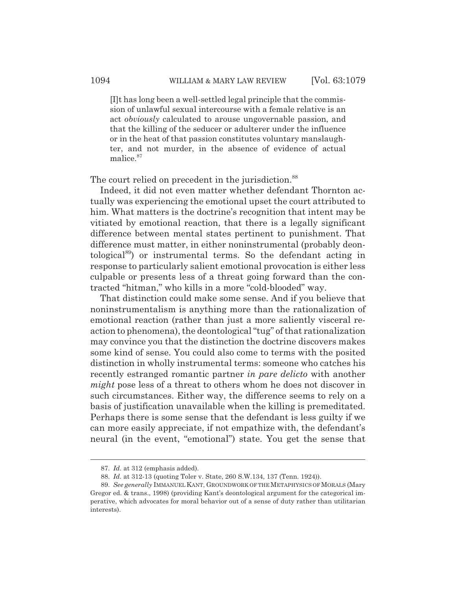[I]t has long been a well-settled legal principle that the commission of unlawful sexual intercourse with a female relative is an act *obviously* calculated to arouse ungovernable passion, and that the killing of the seducer or adulterer under the influence or in the heat of that passion constitutes voluntary manslaughter, and not murder, in the absence of evidence of actual malice.87

The court relied on precedent in the jurisdiction.<sup>88</sup>

Indeed, it did not even matter whether defendant Thornton actually was experiencing the emotional upset the court attributed to him. What matters is the doctrine's recognition that intent may be vitiated by emotional reaction, that there is a legally significant difference between mental states pertinent to punishment. That difference must matter, in either noninstrumental (probably deontological89) or instrumental terms. So the defendant acting in response to particularly salient emotional provocation is either less culpable or presents less of a threat going forward than the contracted "hitman," who kills in a more "cold-blooded" way.

That distinction could make some sense. And if you believe that noninstrumentalism is anything more than the rationalization of emotional reaction (rather than just a more saliently visceral reaction to phenomena), the deontological "tug" of that rationalization may convince you that the distinction the doctrine discovers makes some kind of sense. You could also come to terms with the posited distinction in wholly instrumental terms: someone who catches his recently estranged romantic partner *in pare delicto* with another *might* pose less of a threat to others whom he does not discover in such circumstances. Either way, the difference seems to rely on a basis of justification unavailable when the killing is premeditated. Perhaps there is some sense that the defendant is less guilty if we can more easily appreciate, if not empathize with, the defendant's neural (in the event, "emotional") state. You get the sense that

<sup>87.</sup> *Id.* at 312 (emphasis added).

<sup>88.</sup> *Id.* at 312-13 (quoting Toler v. State, 260 S.W.134, 137 (Tenn. 1924)).

<sup>89.</sup> *See generally* IMMANUELKANT, GROUNDWORK OF THE METAPHYSICS OF MORALS (Mary Gregor ed. & trans., 1998) (providing Kant's deontological argument for the categorical imperative, which advocates for moral behavior out of a sense of duty rather than utilitarian interests).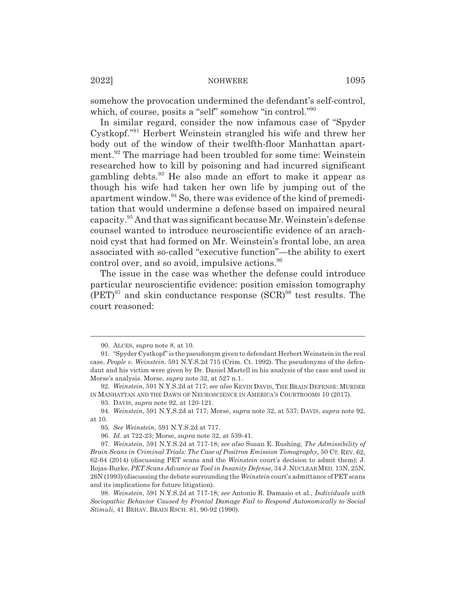somehow the provocation undermined the defendant's self-control, which, of course, posits a "self" somehow "in control."<sup>90</sup>

In similar regard, consider the now infamous case of "Spyder Cystkopf."91 Herbert Weinstein strangled his wife and threw her body out of the window of their twelfth-floor Manhattan apartment.<sup>92</sup> The marriage had been troubled for some time: Weinstein researched how to kill by poisoning and had incurred significant gambling debts.93 He also made an effort to make it appear as though his wife had taken her own life by jumping out of the apartment window.94 So, there was evidence of the kind of premeditation that would undermine a defense based on impaired neural capacity.95 And that was significant because Mr. Weinstein's defense counsel wanted to introduce neuroscientific evidence of an arachnoid cyst that had formed on Mr. Weinstein's frontal lobe, an area associated with so-called "executive function"—the ability to exert control over, and so avoid, impulsive actions.<sup>96</sup>

The issue in the case was whether the defense could introduce particular neuroscientific evidence: position emission tomography  $(PET)^{97}$  and skin conductance response  $(SCR)^{98}$  test results. The court reasoned:

<sup>90.</sup> ALCES, *supra* note 8, at 10.

<sup>91. &</sup>quot;Spyder Cystkopf" is the pseudonym given to defendant Herbert Weinstein in the real case, *People v. Weinstein*. 591 N.Y.S.2d 715 (Crim. Ct. 1992). The pseudonyms of the defendant and his victim were given by Dr. Daniel Martell in his analysis of the case and used in Morse's analysis. Morse, *supra* note 32, at 527 n.1.

<sup>92.</sup> *Weinstein*, 591 N.Y.S.2d at 717; *see also* KEVIN DAVIS, THE BRAIN DEFENSE: MURDER IN MANHATTAN AND THE DAWN OF NEUROSCIENCE IN AMERICA'S COURTROOMS 10 (2017).

<sup>93.</sup> DAVIS, *supra* note 92, at 120-121.

<sup>94.</sup> *Weinstein*, 591 N.Y.S.2d at 717; Morse, *supra* note 32, at 537; DAVIS, *supra* note 92, at 10.

<sup>95.</sup> *See Weinstein*, 591 N.Y.S.2d at 717.

<sup>96.</sup> *Id.* at 722-23; Morse, *supra* note 32, at 539-41.

<sup>97.</sup> *Weinstein*, 591 N.Y.S.2d at 717-18; *see also* Susan E. Rushing, *The Admissibility of Brain Scans in Criminal Trials: The Case of Positron Emission Tomography*, 50 CT. REV. 62, 62-64 (2014) (discussing PET scans and the *Weinstein* court's decision to admit them); J. Rojas-Burke, *PET Scans Advance as Tool in Insanity Defense*, 34 J. NUCLEAR MED. 13N, 25N, 26N (1993) (discussing the debate surrounding the *Weinstein* court's admittance of PET scans and its implications for future litigation).

<sup>98.</sup> *Weinstein*, 591 N.Y.S.2d at 717-18; *see* Antonio R. Damasio et al., *Individuals with Sociopathic Behavior Caused by Frontal Damage Fail to Respond Autonomically to Social Stimuli*, 41 BEHAV. BRAIN RSCH. 81, 90-92 (1990).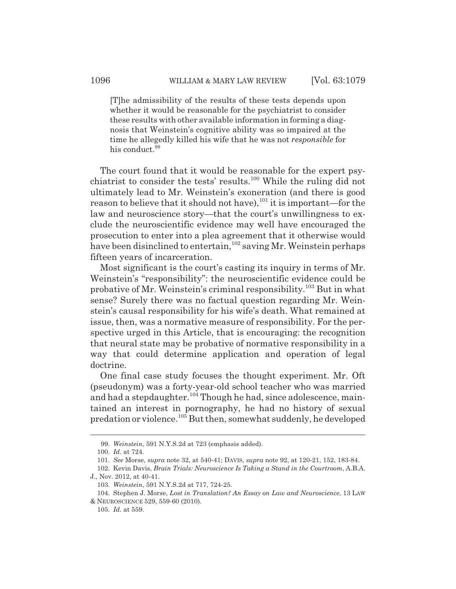[T]he admissibility of the results of these tests depends upon whether it would be reasonable for the psychiatrist to consider these results with other available information in forming a diagnosis that Weinstein's cognitive ability was so impaired at the time he allegedly killed his wife that he was not *responsible* for his conduct.<sup>99</sup>

The court found that it would be reasonable for the expert psychiatrist to consider the tests' results.100 While the ruling did not ultimately lead to Mr. Weinstein's exoneration (and there is good reason to believe that it should not have),  $101$  it is important—for the law and neuroscience story—that the court's unwillingness to exclude the neuroscientific evidence may well have encouraged the prosecution to enter into a plea agreement that it otherwise would have been disinclined to entertain,<sup>102</sup> saving Mr. Weinstein perhaps fifteen years of incarceration.

Most significant is the court's casting its inquiry in terms of Mr. Weinstein's "responsibility": the neuroscientific evidence could be probative of Mr. Weinstein's criminal responsibility.103 But in what sense? Surely there was no factual question regarding Mr. Weinstein's causal responsibility for his wife's death. What remained at issue, then, was a normative measure of responsibility. For the perspective urged in this Article, that is encouraging: the recognition that neural state may be probative of normative responsibility in a way that could determine application and operation of legal doctrine.

One final case study focuses the thought experiment. Mr. Oft (pseudonym) was a forty-year-old school teacher who was married and had a stepdaughter.<sup>104</sup> Though he had, since adolescence, maintained an interest in pornography, he had no history of sexual predation or violence.105 But then, somewhat suddenly, he developed

<sup>99.</sup> *Weinstein*, 591 N.Y.S.2d at 723 (emphasis added).

<sup>100.</sup> *Id.* at 724.

<sup>101.</sup> *See* Morse, *supra* note 32, at 540-41; DAVIS, *supra* note 92, at 120-21, 152, 183-84.

<sup>102.</sup> Kevin Davis, *Brain Trials: Neuroscience Is Taking a Stand in the Courtroom*, A.B.A. J., Nov. 2012, at 40-41.

<sup>103.</sup> *Weinstein*, 591 N.Y.S.2d at 717, 724-25.

<sup>104.</sup> Stephen J. Morse, *Lost in Translation? An Essay on Law and Neuroscience*, 13 LAW & NEUROSCIENCE 529, 559-60 (2010).

<sup>105.</sup> *Id.* at 559.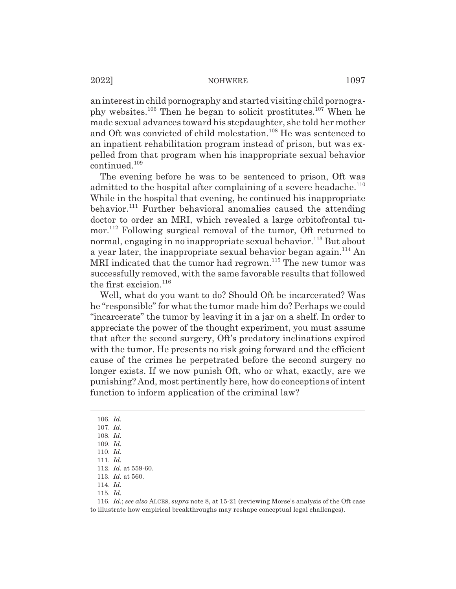an interest in child pornography and started visiting child pornography websites.106 Then he began to solicit prostitutes.107 When he made sexual advances toward his stepdaughter, she told her mother and Oft was convicted of child molestation.<sup>108</sup> He was sentenced to an inpatient rehabilitation program instead of prison, but was expelled from that program when his inappropriate sexual behavior continued.<sup>109</sup>

The evening before he was to be sentenced to prison, Oft was admitted to the hospital after complaining of a severe headache.<sup>110</sup> While in the hospital that evening, he continued his inappropriate behavior.<sup>111</sup> Further behavioral anomalies caused the attending doctor to order an MRI, which revealed a large orbitofrontal tumor.112 Following surgical removal of the tumor, Oft returned to normal, engaging in no inappropriate sexual behavior.<sup>113</sup> But about a year later, the inappropriate sexual behavior began again.114 An MRI indicated that the tumor had regrown.<sup>115</sup> The new tumor was successfully removed, with the same favorable results that followed the first excision. $116$ 

Well, what do you want to do? Should Oft be incarcerated? Was he "responsible" for what the tumor made him do? Perhaps we could "incarcerate" the tumor by leaving it in a jar on a shelf. In order to appreciate the power of the thought experiment, you must assume that after the second surgery, Oft's predatory inclinations expired with the tumor. He presents no risk going forward and the efficient cause of the crimes he perpetrated before the second surgery no longer exists. If we now punish Oft, who or what, exactly, are we punishing? And, most pertinently here, how do conceptions of intent function to inform application of the criminal law?

116. *Id.*; *see also* ALCES, *supra* note 8, at 15-21 (reviewing Morse's analysis of the Oft case to illustrate how empirical breakthroughs may reshape conceptual legal challenges).

<sup>106.</sup> *Id.*

<sup>107.</sup> *Id.*

<sup>108.</sup> *Id.*

<sup>109.</sup> *Id.*

<sup>110.</sup> *Id.*

<sup>111.</sup> *Id.*

<sup>112.</sup> *Id.* at 559-60.

<sup>113.</sup> *Id.* at 560. 114. *Id.*

<sup>115.</sup> *Id.*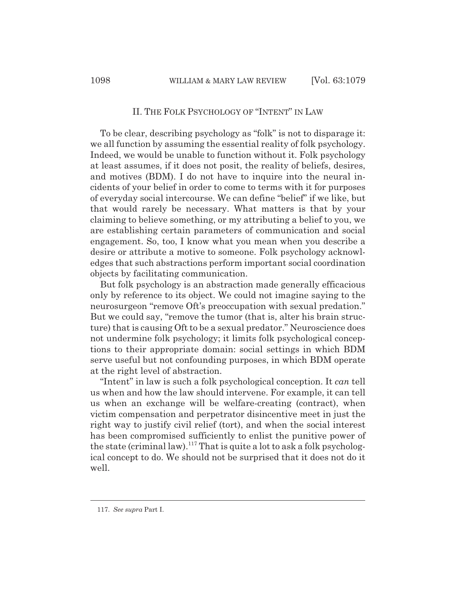# II. THE FOLK PSYCHOLOGY OF "INTENT" IN LAW

To be clear, describing psychology as "folk" is not to disparage it: we all function by assuming the essential reality of folk psychology. Indeed, we would be unable to function without it. Folk psychology at least assumes, if it does not posit, the reality of beliefs, desires, and motives (BDM). I do not have to inquire into the neural incidents of your belief in order to come to terms with it for purposes of everyday social intercourse. We can define "belief" if we like, but that would rarely be necessary. What matters is that by your claiming to believe something, or my attributing a belief to you, we are establishing certain parameters of communication and social engagement. So, too, I know what you mean when you describe a desire or attribute a motive to someone. Folk psychology acknowledges that such abstractions perform important social coordination objects by facilitating communication.

But folk psychology is an abstraction made generally efficacious only by reference to its object. We could not imagine saying to the neurosurgeon "remove Oft's preoccupation with sexual predation." But we could say, "remove the tumor (that is, alter his brain structure) that is causing Oft to be a sexual predator." Neuroscience does not undermine folk psychology; it limits folk psychological conceptions to their appropriate domain: social settings in which BDM serve useful but not confounding purposes, in which BDM operate at the right level of abstraction.

"Intent" in law is such a folk psychological conception. It *can* tell us when and how the law should intervene. For example, it can tell us when an exchange will be welfare-creating (contract), when victim compensation and perpetrator disincentive meet in just the right way to justify civil relief (tort), and when the social interest has been compromised sufficiently to enlist the punitive power of the state (criminal law).<sup>117</sup> That is quite a lot to ask a folk psychological concept to do. We should not be surprised that it does not do it well.

<sup>117.</sup> *See supra* Part I.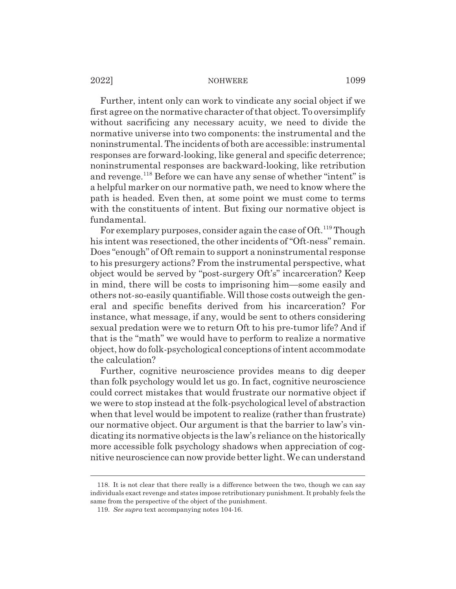Further, intent only can work to vindicate any social object if we first agree on the normative character of that object. To oversimplify without sacrificing any necessary acuity, we need to divide the normative universe into two components: the instrumental and the noninstrumental. The incidents of both are accessible: instrumental responses are forward-looking, like general and specific deterrence; noninstrumental responses are backward-looking, like retribution and revenge.<sup>118</sup> Before we can have any sense of whether "intent" is a helpful marker on our normative path, we need to know where the path is headed. Even then, at some point we must come to terms with the constituents of intent. But fixing our normative object is fundamental.

For exemplary purposes, consider again the case of Oft.<sup>119</sup> Though his intent was resectioned, the other incidents of "Oft-ness" remain. Does "enough" of Oft remain to support a noninstrumental response to his presurgery actions? From the instrumental perspective, what object would be served by "post-surgery Oft's" incarceration? Keep in mind, there will be costs to imprisoning him—some easily and others not-so-easily quantifiable. Will those costs outweigh the general and specific benefits derived from his incarceration? For instance, what message, if any, would be sent to others considering sexual predation were we to return Oft to his pre-tumor life? And if that is the "math" we would have to perform to realize a normative object, how do folk-psychological conceptions of intent accommodate the calculation?

Further, cognitive neuroscience provides means to dig deeper than folk psychology would let us go. In fact, cognitive neuroscience could correct mistakes that would frustrate our normative object if we were to stop instead at the folk-psychological level of abstraction when that level would be impotent to realize (rather than frustrate) our normative object. Our argument is that the barrier to law's vindicating its normative objects is the law's reliance on the historically more accessible folk psychology shadows when appreciation of cognitive neuroscience can now provide better light. We can understand

<sup>118.</sup> It is not clear that there really is a difference between the two, though we can say individuals exact revenge and states impose retributionary punishment. It probably feels the same from the perspective of the object of the punishment.

<sup>119.</sup> *See supra* text accompanying notes 104-16.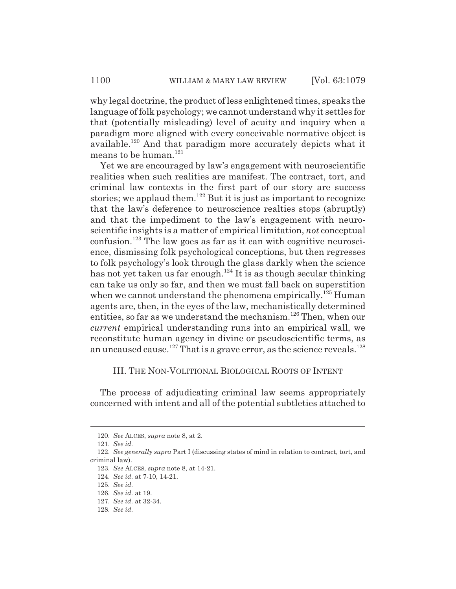why legal doctrine, the product of less enlightened times, speaks the language of folk psychology; we cannot understand why it settles for that (potentially misleading) level of acuity and inquiry when a paradigm more aligned with every conceivable normative object is available.120 And that paradigm more accurately depicts what it means to be human. $^{121}$ 

Yet we are encouraged by law's engagement with neuroscientific realities when such realities are manifest. The contract, tort, and criminal law contexts in the first part of our story are success stories; we applaud them.<sup>122</sup> But it is just as important to recognize that the law's deference to neuroscience realties stops (abruptly) and that the impediment to the law's engagement with neuroscientific insights is a matter of empirical limitation, *not* conceptual  $\alpha$  confusion.<sup>123</sup> The law goes as far as it can with cognitive neuroscience, dismissing folk psychological conceptions, but then regresses to folk psychology's look through the glass darkly when the science has not yet taken us far enough.<sup>124</sup> It is as though secular thinking can take us only so far, and then we must fall back on superstition when we cannot understand the phenomena empirically.<sup>125</sup> Human agents are, then, in the eyes of the law, mechanistically determined entities, so far as we understand the mechanism.<sup>126</sup> Then, when our *current* empirical understanding runs into an empirical wall, we reconstitute human agency in divine or pseudoscientific terms, as an uncaused cause.<sup>127</sup> That is a grave error, as the science reveals.<sup>128</sup>

# III. THE NON-VOLITIONAL BIOLOGICAL ROOTS OF INTENT

The process of adjudicating criminal law seems appropriately concerned with intent and all of the potential subtleties attached to

<sup>120.</sup> *See* ALCES, *supra* note 8, at 2.

<sup>121.</sup> *See id.*

<sup>122.</sup> *See generally supra* Part I (discussing states of mind in relation to contract, tort, and criminal law).

<sup>123.</sup> *See* ALCES, *supra* note 8, at 14-21.

<sup>124.</sup> *See id.* at 7-10, 14-21.

<sup>125.</sup> *See id.*

<sup>126.</sup> *See id.* at 19.

<sup>127.</sup> *See id.* at 32-34.

<sup>128.</sup> *See id.*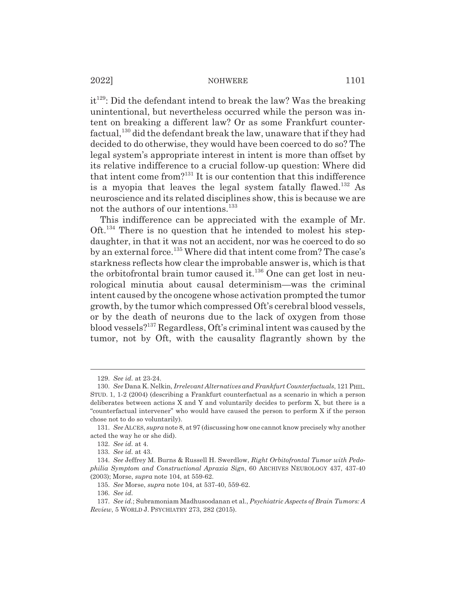$it^{129}$ : Did the defendant intend to break the law? Was the breaking unintentional, but nevertheless occurred while the person was intent on breaking a different law? Or as some Frankfurt counterfactual, $130$  did the defendant break the law, unaware that if they had decided to do otherwise, they would have been coerced to do so? The legal system's appropriate interest in intent is more than offset by its relative indifference to a crucial follow-up question: Where did that intent come from? $131$  It is our contention that this indifference is a myopia that leaves the legal system fatally flawed.<sup>132</sup> As neuroscience and its related disciplines show, this is because we are not the authors of our intentions.<sup>133</sup>

This indifference can be appreciated with the example of Mr. Oft.134 There is no question that he intended to molest his stepdaughter, in that it was not an accident, nor was he coerced to do so by an external force.<sup>135</sup> Where did that intent come from? The case's starkness reflects how clear the improbable answer is, which is that the orbitofrontal brain tumor caused it.<sup>136</sup> One can get lost in neurological minutia about causal determinism—was the criminal intent caused by the oncogene whose activation prompted the tumor growth, by the tumor which compressed Oft's cerebral blood vessels, or by the death of neurons due to the lack of oxygen from those blood vessels?137 Regardless, Oft's criminal intent was caused by the tumor, not by Oft, with the causality flagrantly shown by the

<sup>129.</sup> *See id.* at 23-24.

<sup>130.</sup> *See* Dana K. Nelkin, *Irrelevant Alternatives and Frankfurt Counterfactuals*, 121 PHIL. STUD. 1, 1-2 (2004) (describing a Frankfurt counterfactual as a scenario in which a person deliberates between actions X and Y and voluntarily decides to perform X, but there is a "counterfactual intervener" who would have caused the person to perform X if the person chose not to do so voluntarily).

<sup>131.</sup> *See* ALCES, *supra* note 8, at 97 (discussing how one cannot know precisely why another acted the way he or she did).

<sup>132.</sup> *See id.* at 4.

<sup>133.</sup> *See id.* at 43.

<sup>134.</sup> *See* Jeffrey M. Burns & Russell H. Swerdlow, *Right Orbitofrontal Tumor with Pedophilia Symptom and Constructional Apraxia Sign*, 60 ARCHIVES NEUROLOGY 437, 437-40 (2003); Morse, *supra* note 104, at 559-62.

<sup>135.</sup> *See* Morse, *supra* note 104, at 537-40, 559-62.

<sup>136.</sup> *See id.*

<sup>137.</sup> *See id.*; Subramoniam Madhusoodanan et al., *Psychiatric Aspects of Brain Tumors: A Review*, 5 WORLD J. PSYCHIATRY 273, 282 (2015).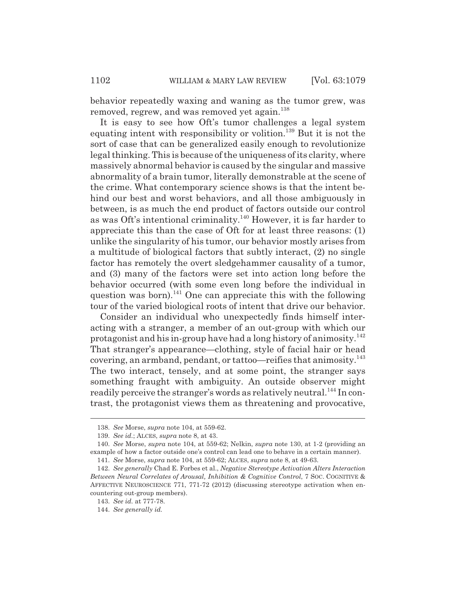behavior repeatedly waxing and waning as the tumor grew, was removed, regrew, and was removed yet again.<sup>138</sup>

It is easy to see how Oft's tumor challenges a legal system equating intent with responsibility or volition.<sup>139</sup> But it is not the sort of case that can be generalized easily enough to revolutionize legal thinking. This is because of the uniqueness of its clarity, where massively abnormal behavior is caused by the singular and massive abnormality of a brain tumor, literally demonstrable at the scene of the crime. What contemporary science shows is that the intent behind our best and worst behaviors, and all those ambiguously in between, is as much the end product of factors outside our control as was Oft's intentional criminality.140 However, it is far harder to appreciate this than the case of Oft for at least three reasons: (1) unlike the singularity of his tumor, our behavior mostly arises from a multitude of biological factors that subtly interact, (2) no single factor has remotely the overt sledgehammer causality of a tumor, and (3) many of the factors were set into action long before the behavior occurred (with some even long before the individual in question was born).<sup>141</sup> One can appreciate this with the following tour of the varied biological roots of intent that drive our behavior.

Consider an individual who unexpectedly finds himself interacting with a stranger, a member of an out-group with which our protagonist and his in-group have had a long history of animosity.<sup>142</sup> That stranger's appearance—clothing, style of facial hair or head covering, an armband, pendant, or tattoo—reifies that animosity. $^{143}$ The two interact, tensely, and at some point, the stranger says something fraught with ambiguity. An outside observer might readily perceive the stranger's words as relatively neutral.<sup>144</sup> In contrast, the protagonist views them as threatening and provocative,

<sup>138.</sup> *See* Morse, *supra* note 104, at 559-62.

<sup>139.</sup> *See id.*; ALCES, *supra* note 8, at 43.

<sup>140.</sup> *See* Morse, *supra* note 104, at 559-62; Nelkin, *supra* note 130, at 1-2 (providing an example of how a factor outside one's control can lead one to behave in a certain manner). 141. *See* Morse, *supra* note 104, at 559-62; ALCES, *supra* note 8, at 49-63.

<sup>142.</sup> *See generally* Chad E. Forbes et al., *Negative Stereotype Activation Alters Interaction Between Neural Correlates of Arousal, Inhibition & Cognitive Control*, 7 SOC. COGNITIVE & AFFECTIVE NEUROSCIENCE 771, 771-72 (2012) (discussing stereotype activation when encountering out-group members).

<sup>143.</sup> *See id.* at 777-78.

<sup>144.</sup> *See generally id.*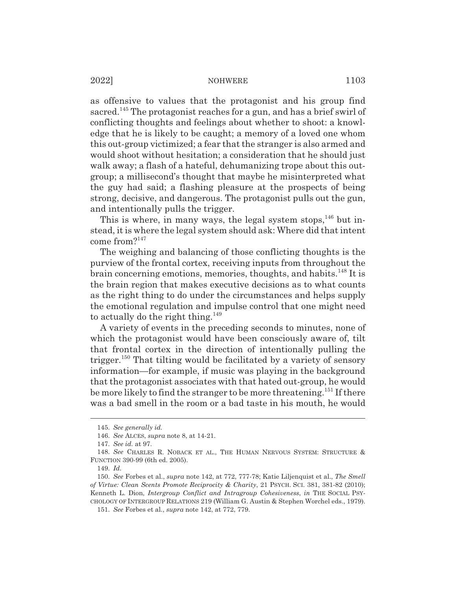as offensive to values that the protagonist and his group find sacred.145 The protagonist reaches for a gun, and has a brief swirl of conflicting thoughts and feelings about whether to shoot: a knowledge that he is likely to be caught; a memory of a loved one whom this out-group victimized; a fear that the stranger is also armed and would shoot without hesitation; a consideration that he should just walk away; a flash of a hateful, dehumanizing trope about this outgroup; a millisecond's thought that maybe he misinterpreted what the guy had said; a flashing pleasure at the prospects of being strong, decisive, and dangerous. The protagonist pulls out the gun, and intentionally pulls the trigger.

This is where, in many ways, the legal system stops, $146$  but instead, it is where the legal system should ask: Where did that intent come from? $147$ 

The weighing and balancing of those conflicting thoughts is the purview of the frontal cortex, receiving inputs from throughout the brain concerning emotions, memories, thoughts, and habits.<sup>148</sup> It is the brain region that makes executive decisions as to what counts as the right thing to do under the circumstances and helps supply the emotional regulation and impulse control that one might need to actually do the right thing.<sup>149</sup>

A variety of events in the preceding seconds to minutes, none of which the protagonist would have been consciously aware of, tilt that frontal cortex in the direction of intentionally pulling the trigger.<sup>150</sup> That tilting would be facilitated by a variety of sensory information—for example, if music was playing in the background that the protagonist associates with that hated out-group, he would be more likely to find the stranger to be more threatening.<sup>151</sup> If there was a bad smell in the room or a bad taste in his mouth, he would

<sup>145.</sup> *See generally id.*

<sup>146.</sup> *See* ALCES, *supra* note 8, at 14-21.

<sup>147.</sup> *See id.* at 97.

<sup>148.</sup> *See* CHARLES R. NOBACK ET AL., THE HUMAN NERVOUS SYSTEM: STRUCTURE & FUNCTION 390-99 (6th ed. 2005).

<sup>149.</sup> *Id.*

<sup>150.</sup> *See* Forbes et al., *supra* note 142, at 772, 777-78; Katie Liljenquist et al., *The Smell of Virtue: Clean Scents Promote Reciprocity & Charity*, 21 PSYCH. SCI. 381, 381-82 (2010); Kenneth L. Dion, *Intergroup Conflict and Intragroup Cohesiveness*, *in* THE SOCIAL PSY-CHOLOGY OF INTERGROUP RELATIONS 219 (William G. Austin & Stephen Worchel eds., 1979).

<sup>151.</sup> *See* Forbes et al., *supra* note 142, at 772, 779.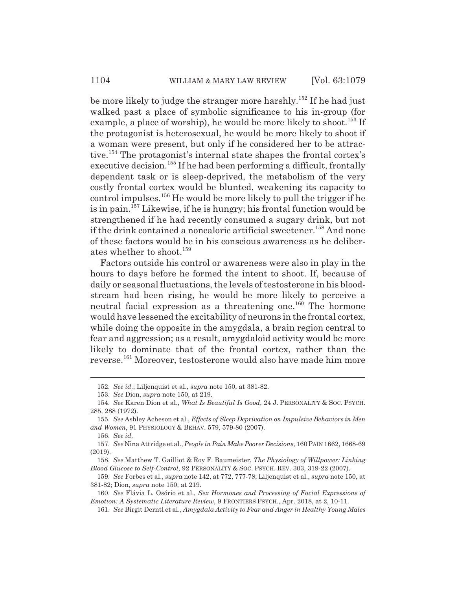be more likely to judge the stranger more harshly.<sup>152</sup> If he had just walked past a place of symbolic significance to his in-group (for example, a place of worship), he would be more likely to shoot.<sup>153</sup> If the protagonist is heterosexual, he would be more likely to shoot if a woman were present, but only if he considered her to be attractive.154 The protagonist's internal state shapes the frontal cortex's executive decision.<sup>155</sup> If he had been performing a difficult, frontally dependent task or is sleep-deprived, the metabolism of the very costly frontal cortex would be blunted, weakening its capacity to control impulses.156 He would be more likely to pull the trigger if he is in pain.157 Likewise, if he is hungry; his frontal function would be strengthened if he had recently consumed a sugary drink, but not if the drink contained a noncaloric artificial sweetener.<sup>158</sup> And none of these factors would be in his conscious awareness as he deliberates whether to shoot.<sup>159</sup>

Factors outside his control or awareness were also in play in the hours to days before he formed the intent to shoot. If, because of daily or seasonal fluctuations, the levels of testosterone in his bloodstream had been rising, he would be more likely to perceive a neutral facial expression as a threatening one.<sup>160</sup> The hormone would have lessened the excitability of neurons in the frontal cortex, while doing the opposite in the amygdala, a brain region central to fear and aggression; as a result, amygdaloid activity would be more likely to dominate that of the frontal cortex, rather than the reverse.161 Moreover, testosterone would also have made him more

156. *See id.*

<sup>152.</sup> *See id.*; Liljenquist et al., *supra* note 150, at 381-82.

<sup>153.</sup> *See* Dion, *supra* note 150, at 219.

<sup>154.</sup> *See* Karen Dion et al., *What Is Beautiful Is Good*, 24 J. PERSONALITY & SOC. PSYCH. 285, 288 (1972).

<sup>155.</sup> *See* Ashley Acheson et al., *Effects of Sleep Deprivation on Impulsive Behaviors in Men and Women*, 91 PHYSIOLOGY & BEHAV. 579, 579-80 (2007).

<sup>157.</sup> *See* Nina Attridge et al., *People in Pain Make Poorer Decisions*, 160 PAIN 1662, 1668-69 (2019).

<sup>158.</sup> *See* Matthew T. Gailliot & Roy F. Baumeister, *The Physiology of Willpower: Linking Blood Glucose to Self-Control*, 92 PERSONALITY & SOC. PSYCH. REV. 303, 319-22 (2007).

<sup>159.</sup> *See* Forbes et al., *supra* note 142, at 772, 777-78; Liljenquist et al., *supra* note 150, at 381-82; Dion, *supra* note 150, at 219.

<sup>160.</sup> *See* Flávia L. Osório et al., *Sex Hormones and Processing of Facial Expressions of Emotion: A Systematic Literature Review*, 9 FRONTIERS PSYCH., Apr. 2018, at 2, 10-11.

<sup>161.</sup> *See* Birgit Derntl et al., *Amygdala Activity to Fear and Anger in Healthy Young Males*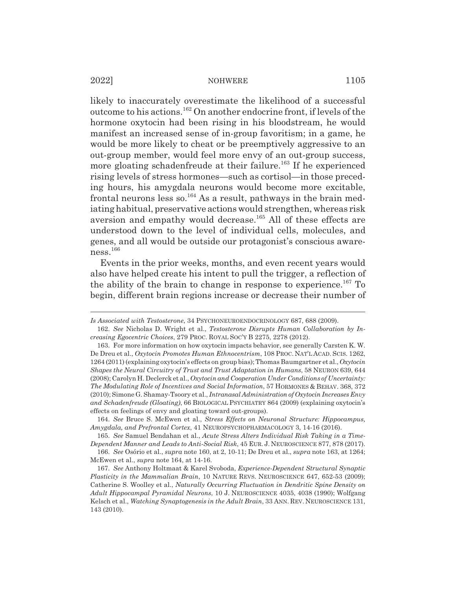likely to inaccurately overestimate the likelihood of a successful outcome to his actions.162 On another endocrine front, if levels of the hormone oxytocin had been rising in his bloodstream, he would manifest an increased sense of in-group favoritism; in a game, he would be more likely to cheat or be preemptively aggressive to an out-group member, would feel more envy of an out-group success, more gloating schadenfreude at their failure.<sup>163</sup> If he experienced rising levels of stress hormones—such as cortisol—in those preceding hours, his amygdala neurons would become more excitable, frontal neurons less so.<sup>164</sup> As a result, pathways in the brain mediating habitual, preservative actions would strengthen, whereas risk aversion and empathy would decrease.<sup>165</sup> All of these effects are understood down to the level of individual cells, molecules, and genes, and all would be outside our protagonist's conscious awareness.<sup>166</sup>

Events in the prior weeks, months, and even recent years would also have helped create his intent to pull the trigger, a reflection of the ability of the brain to change in response to experience.<sup>167</sup> To begin, different brain regions increase or decrease their number of

*Is Associated with Testosterone*, 34 PSYCHONEUROENDOCRINOLOGY 687, 688 (2009).

<sup>162.</sup> *See* Nicholas D. Wright et al., *Testosterone Disrupts Human Collaboration by Increasing Egocentric Choices*, 279 PROC. ROYAL SOC'Y B 2275, 2278 (2012).

<sup>163.</sup> For more information on how oxytocin impacts behavior, see generally Carsten K. W. De Dreu et al., *Oxytocin Promotes Human Ethnocentrism*, 108 PROC. NAT'L ACAD. SCIS. 1262, 1264 (2011) (explaining oxytocin's effects on group bias); Thomas Baumgartner et al., *Oxytocin Shapes the Neural Circuitry of Trust and Trust Adaptation in Humans*, 58 NEURON 639, 644 (2008); Carolyn H. Declerck et al., *Oxytocin and Cooperation Under Conditions of Uncertainty: The Modulating Role of Incentives and Social Information*, 57 HORMONES & BEHAV. 368, 372 (2010); Simone G. Shamay-Tsoory et al., *Intranasal Administration of Oxytocin Increases Envy and Schadenfreude (Gloating)*, 66 BIOLOGICAL PSYCHIATRY 864 (2009) (explaining oxytocin's effects on feelings of envy and gloating toward out-groups).

<sup>164.</sup> *See* Bruce S. McEwen et al., *Stress Effects on Neuronal Structure: Hippocampus, Amygdala, and Prefrontal Cortex*, 41 NEUROPSYCHOPHARMACOLOGY 3, 14-16 (2016).

<sup>165.</sup> *See* Samuel Bendahan et al., *Acute Stress Alters Individual Risk Taking in a Time-Dependent Manner and Leads to Anti-Social Risk*, 45 EUR. J. NEUROSCIENCE 877, 878 (2017).

<sup>166.</sup> *See* Osório et al., *supra* note 160, at 2, 10-11; De Dreu et al., *supra* note 163, at 1264; McEwen et al., *supra* note 164, at 14-16.

<sup>167.</sup> *See* Anthony Holtmaat & Karel Svoboda, *Experience-Dependent Structural Synaptic Plasticity in the Mammalian Brain*, 10 NATURE REVS. NEUROSCIENCE 647, 652-53 (2009); Catherine S. Woolley et al., *Naturally Occurring Fluctuation in Dendritic Spine Density on Adult Hippocampal Pyramidal Neurons*, 10 J. NEUROSCIENCE 4035, 4038 (1990); Wolfgang Kelsch et al., *Watching Synaptogenesis in the Adult Brain*, 33 ANN. REV. NEUROSCIENCE 131, 143 (2010).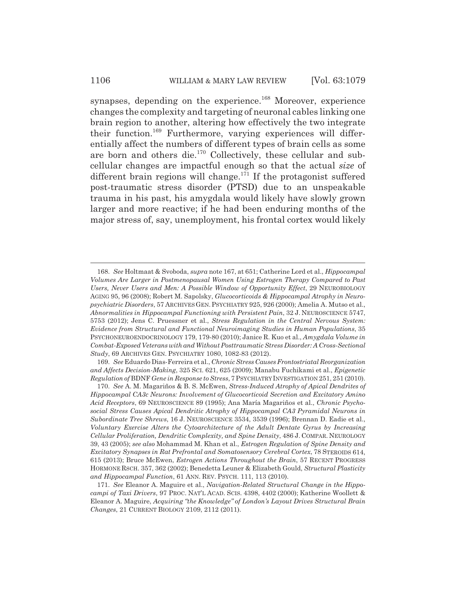synapses, depending on the experience.<sup>168</sup> Moreover, experience changes the complexity and targeting of neuronal cables linking one brain region to another, altering how effectively the two integrate their function.<sup>169</sup> Furthermore, varying experiences will differentially affect the numbers of different types of brain cells as some are born and others die.170 Collectively, these cellular and subcellular changes are impactful enough so that the actual *size* of different brain regions will change.<sup>171</sup> If the protagonist suffered post-traumatic stress disorder (PTSD) due to an unspeakable trauma in his past, his amygdala would likely have slowly grown larger and more reactive; if he had been enduring months of the major stress of, say, unemployment, his frontal cortex would likely

169. *See* Eduardo Dias-Ferreira et al., *Chronic Stress Causes Frontostriatal Reorganization and Affects Decision-Making*, 325 SCI. 621, 625 (2009); Manabu Fuchikami et al., *Epigenetic Regulation of* BDNF *Gene in Response to Stress*, 7 PSYCHIATRYINVESTIGATION 251, 251 (2010).

<sup>168.</sup> *See* Holtmaat & Svoboda, *supra* note 167, at 651; Catherine Lord et al., *Hippocampal Volumes Are Larger in Postmenopausal Women Using Estrogen Therapy Compared to Past Users, Never Users and Men: A Possible Window of Opportunity Effect*, 29 NEUROBIOLOGY AGING 95, 96 (2008); Robert M. Sapolsky, *Glucocorticoids & Hippocampal Atrophy in Neuropsychiatric Disorders*, 57 ARCHIVES GEN. PSYCHIATRY 925, 926 (2000); Amelia A. Mutso et al., *Abnormalities in Hippocampal Functioning with Persistent Pain*, 32 J. NEUROSCIENCE 5747, 5753 (2012); Jens C. Pruessner et al., *Stress Regulation in the Central Nervous System: Evidence from Structural and Functional Neuroimaging Studies in Human Populations*, 35 PSYCHONEUROENDOCRINOLOGY 179, 179-80 (2010); Janice R. Kuo et al., *Amygdala Volume in Combat-Exposed Veterans with and Without Posttraumatic Stress Disorder: A Cross-Sectional Study*, 69 ARCHIVES GEN. PSYCHIATRY 1080, 1082-83 (2012).

<sup>170.</sup> *See* A. M. Magariños & B. S. McEwen, *Stress-Induced Atrophy of Apical Dendrites of Hippocampal CA3c Neurons: Involvement of Glucocorticoid Secretion and Excitatory Amino Acid Receptors*, 69 NEUROSCIENCE 89 (1995); Ana María Magariños et al., *Chronic Psychosocial Stress Causes Apical Dendritic Atrophy of Hippocampal CA3 Pyramidal Neurons in Subordinate Tree Shrews*, 16 J. NEUROSCIENCE 3534, 3539 (1996); Brennan D. Eadie et al., *Voluntary Exercise Alters the Cytoarchitecture of the Adult Dentate Gyrus by Increasing Cellular Proliferation, Dendritic Complexity, and Spine Density*, 486 J. COMPAR. NEUROLOGY 39, 43 (2005); *see also* Mohammad M. Khan et al., *Estrogen Regulation of Spine Density and Excitatory Synapses in Rat Prefrontal and Somatosensory Cerebral Cortex*, 78 STEROIDS 614, 615 (2013); Bruce McEwen, *Estrogen Actions Throughout the Brain*, 57 RECENT PROGRESS HORMONE RSCH. 357, 362 (2002); Benedetta Leuner & Elizabeth Gould, *Structural Plasticity and Hippocampal Function*, 61 ANN. REV. PSYCH. 111, 113 (2010).

<sup>171.</sup> *See* Eleanor A. Maguire et al., *Navigation-Related Structural Change in the Hippocampi of Taxi Drivers*, 97 PROC. NAT'L ACAD. SCIS. 4398, 4402 (2000); Katherine Woollett & Eleanor A. Maguire, *Acquiring "the Knowledge" of London's Layout Drives Structural Brain Changes*, 21 CURRENT BIOLOGY 2109, 2112 (2011).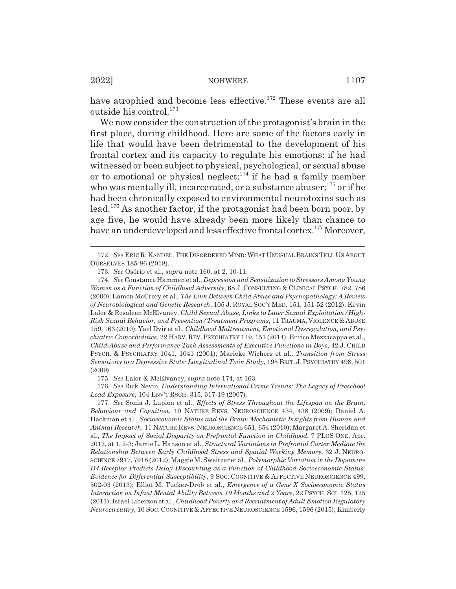have atrophied and become less effective.<sup>172</sup> These events are all outside his control.<sup>173</sup>

We now consider the construction of the protagonist's brain in the first place, during childhood. Here are some of the factors early in life that would have been detrimental to the development of his frontal cortex and its capacity to regulate his emotions: if he had witnessed or been subject to physical, psychological, or sexual abuse or to emotional or physical neglect; $174$  if he had a family member who was mentally ill, incarcerated, or a substance abuser; $175$  or if he had been chronically exposed to environmental neurotoxins such as lead.176 As another factor, if the protagonist had been born poor, by age five, he would have already been more likely than chance to have an underdeveloped and less effective frontal cortex.<sup>177</sup> Moreover,

175. *See* Lalor & McElvaney, *supra* note 174, at 163.

176. *See* Rick Nevin, *Understanding International Crime Trends: The Legacy of Preschool Lead Exposure*, 104 ENV'T RSCH. 315, 317-19 (2007).

177. *See* Sonia J. Lupien et al., *Effects of Stress Throughout the Lifespan on the Brain, Behaviour and Cognition*, 10 NATURE REVS. NEUROSCIENCE 434, 438 (2009); Daniel A. Hackman et al., *Socioeconomic Status and the Brain: Mechanistic Insights from Human and Animal Research*, 11 NATURE REVS. NEUROSCIENCE 651, 654 (2010); Margaret A. Sheridan et al., *The Impact of Social Disparity on Prefrontal Function in Childhood*, 7 PLOS ONE, Apr. 2012, at 1, 2-3; Jamie L. Hanson et al., *Structural Variations in Prefrontal Cortex Mediate the Relationship Between Early Childhood Stress and Spatial Working Memory*, 32 J. NEURO-SCIENCE 7917, 7918 (2012); Maggie M. Sweitzer et al., *Polymorphic Variation in the Dopamine D4 Receptor Predicts Delay Discounting as a Function of Childhood Socioeconomic Status: Evidence for Differential Susceptibility*, 9 SOC. COGNITIVE & AFFECTIVE NEUROSCIENCE 499, 502-03 (2013); Elliot M. Tucker-Drob et al., *Emergence of a Gene X Socioeconomic Status Interaction on Infant Mental Ability Between 10 Months and 2 Years*, 22 PSYCH. SCI. 125, 125 (2011); Israel Liberzon et al., *Childhood Poverty and Recruitment of Adult Emotion Regulatory Neurocircuitry*, 10 SOC. COGNITIVE & AFFECTIVE NEUROSCIENCE 1596, 1596 (2015); Kimberly

<sup>172.</sup> *See* ERIC R. KANDEL, THE DISORDERED MIND: WHAT UNUSUAL BRAINS TELL US ABOUT OURSELVES 185-86 (2018).

<sup>173.</sup> *See* Osório et al., *supra* note 160, at 2, 10-11.

<sup>174.</sup> *See* Constance Hammen et al., *Depression and Sensitization to Stressors Among Young Women as a Function of Childhood Adversity*, 68 J. CONSULTING & CLINICAL PSYCH. 782, 786 (2000); Eamon McCrory et al., *The Link Between Child Abuse and Psychopathology: A Review of Neurobiological and Genetic Research*, 105 J. ROYAL SOC'Y MED. 151, 151-52 (2012); Kevin Lalor & Rosaleen McElvaney, *Child Sexual Abuse, Links to Later Sexual Exploitation/High-Risk Sexual Behavior, and Prevention/Treatment Programs*, 11 TRAUMA, VIOLENCE & ABUSE 159, 163 (2010); Yael Dvir et al., *Childhood Maltreatment, Emotional Dysregulation, and Psychiatric Comorbidities*, 22 HARV. REV. PSYCHIATRY 149, 151 (2014); Enrico Mezzacappa et al., *Child Abuse and Performance Task Assessments of Executive Functions in Boys*, 42 J. CHILD PSYCH.&PSYCHIATRY 1041, 1041 (2001); Marieke Wichers et al., *Transition from Stress Sensitivity to a Depressive State: Longitudinal Twin Study*, 195 BRIT. J. PSYCHIATRY 498, 501 (2009).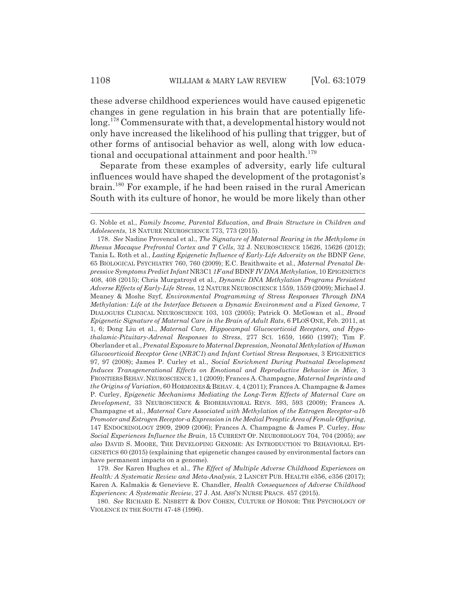these adverse childhood experiences would have caused epigenetic changes in gene regulation in his brain that are potentially lifelong.178 Commensurate with that, a developmental history would not only have increased the likelihood of his pulling that trigger, but of other forms of antisocial behavior as well, along with low educational and occupational attainment and poor health.<sup>179</sup>

Separate from these examples of adversity, early life cultural influences would have shaped the development of the protagonist's brain.180 For example, if he had been raised in the rural American South with its culture of honor, he would be more likely than other

G. Noble et al., *Family Income, Parental Education, and Brain Structure in Children and Adolescents*, 18 NATURE NEUROSCIENCE 773, 773 (2015).

<sup>178.</sup> *See* Nadine Provencal et al., *The Signature of Maternal Rearing in the Methylome in Rhesus Macaque Prefrontal Cortex and T Cells*, 32 J. NEUROSCIENCE 15626, 15626 (2012); Tania L. Roth et al., *Lasting Epigenetic Influence of Early-Life Adversity on the* BDNF *Gene*, 65 BIOLOGICAL PSYCHIATRY 760, 760 (2009); E.C. Braithwaite et al., *Maternal Prenatal Depressive Symptoms Predict Infant* NR3C1 *1F and* BDNF *IV DNA Methylation*, 10 EPIGENETICS 408, 408 (2015); Chris Murgatroyd et al., *Dynamic DNA Methylation Programs Persistent Adverse Effects of Early-Life Stress*, 12 NATURE NEUROSCIENCE 1559, 1559 (2009); Michael J. Meaney & Moshe Szyf, *Environmental Programming of Stress Responses Through DNA Methylation: Life at the Interface Between a Dynamic Environment and a Fixed Genome*, 7 DIALOGUES CLINICAL NEUROSCIENCE 103, 103 (2005); Patrick O. McGowan et al., *Broad Epigenetic Signature of Maternal Care in the Brain of Adult Rats*, 6 PLOS ONE, Feb. 2011, at 1, 6; Dong Liu et al., *Maternal Care, Hippocampal Glucocorticoid Receptors, and Hypothalamic-Pituitary-Adrenal Responses to Stress*, 277 SCI. 1659, 1660 (1997); Tim F. Oberlander et al., *Prenatal Exposure to Maternal Depression, Neonatal Methylation of Human Glucocorticoid Receptor Gene* (*NR3C1*) *and Infant Cortisol Stress Responses*, 3 EPIGENETICS 97, 97 (2008); James P. Curley et al., *Social Enrichment During Postnatal Development Induces Transgenerational Effects on Emotional and Reproductive Behavior in Mice*, 3 FRONTIERS BEHAV.NEUROSCIENCE 1, 1 (2009); Frances A. Champagne, *Maternal Imprints and the Origins of Variation*, 60 HORMONES & BEHAV. 4, 4 (2011); Frances A. Champagne & James P. Curley, *Epigenetic Mechanisms Mediating the Long-Term Effects of Maternal Care on Development*, 33 NEUROSCIENCE & BIOBEHAVIORAL REVS. 593, 593 (2009); Frances A. Champagne et al., *Maternal Care Associated with Methylation of the Estrogen Receptor-ǂ1b Promoter and Estrogen Receptor-ǂ Expression in the Medial Preoptic Area of Female Offspring*, 147 ENDOCRINOLOGY 2909, 2909 (2006); Frances A. Champagne & James P. Curley, *How Social Experiences Influence the Brain*, 15 CURRENT OP. NEUROBIOLOGY 704, 704 (2005); *see also* DAVID S. MOORE, THE DEVELOPING GENOME: AN INTRODUCTION TO BEHAVIORAL EPI-GENETICS 60 (2015) (explaining that epigenetic changes caused by environmental factors can have permanent impacts on a genome).

<sup>179.</sup> *See* Karen Hughes et al., *The Effect of Multiple Adverse Childhood Experiences on Health: A Systematic Review and Meta-Analysis*, 2 LANCET PUB. HEALTH e356, e356 (2017); Karen A. Kalmakis & Genevieve E. Chandler, *Health Consequences of Adverse Childhood Experiences: A Systematic Review*, 27 J. AM. ASS'N NURSE PRACS. 457 (2015).

<sup>180.</sup> *See* RICHARD E. NISBETT & DOV COHEN, CULTURE OF HONOR: THE PSYCHOLOGY OF VIOLENCE IN THE SOUTH 47-48 (1996).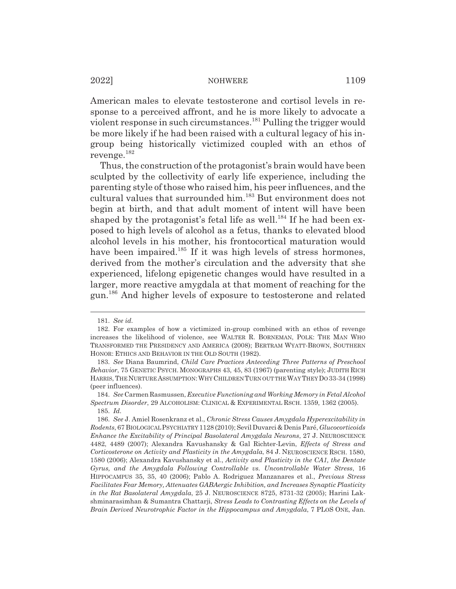American males to elevate testosterone and cortisol levels in response to a perceived affront, and he is more likely to advocate a violent response in such circumstances.<sup>181</sup> Pulling the trigger would be more likely if he had been raised with a cultural legacy of his ingroup being historically victimized coupled with an ethos of revenge.182

Thus, the construction of the protagonist's brain would have been sculpted by the collectivity of early life experience, including the parenting style of those who raised him, his peer influences, and the cultural values that surrounded him.<sup>183</sup> But environment does not begin at birth, and that adult moment of intent will have been shaped by the protagonist's fetal life as well.<sup>184</sup> If he had been exposed to high levels of alcohol as a fetus, thanks to elevated blood alcohol levels in his mother, his frontocortical maturation would have been impaired.<sup>185</sup> If it was high levels of stress hormones, derived from the mother's circulation and the adversity that she experienced, lifelong epigenetic changes would have resulted in a larger, more reactive amygdala at that moment of reaching for the gun.186 And higher levels of exposure to testosterone and related

<sup>181.</sup> *See id.*

<sup>182.</sup> For examples of how a victimized in-group combined with an ethos of revenge increases the likelihood of violence, see WALTER R. BORNEMAN, POLK: THE MAN WHO TRANSFORMED THE PRESIDENCY AND AMERICA (2008); BERTRAM WYATT-BROWN, SOUTHERN HONOR: ETHICS AND BEHAVIOR IN THE OLD SOUTH (1982).

<sup>183.</sup> *See* Diana Baumrind, *Child Care Practices Anteceding Three Patterns of Preschool Behavior*, 75 GENETIC PSYCH. MONOGRAPHS 43, 45, 83 (1967) (parenting style); JUDITH RICH HARRIS, THE NURTURE ASSUMPTION:WHY CHILDREN TURN OUT THE WAY THEY DO 33-34 (1998) (peer influences).

<sup>184.</sup> *See* Carmen Rasmussen, *Executive Functioning and Working Memory in Fetal Alcohol Spectrum Disorder*, 29 ALCOHOLISM: CLINICAL & EXPERIMENTAL RSCH. 1359, 1362 (2005). 185. *Id.*

<sup>186.</sup> *See* J. Amiel Rosenkranz et al., *Chronic Stress Causes Amygdala Hyperexcitability in Rodents*, 67 BIOLOGICAL PSYCHIATRY 1128 (2010); Sevil Duvarci & Denis Paré, *Glucocorticoids Enhance the Excitability of Principal Basolateral Amygdala Neurons*, 27 J. NEUROSCIENCE 4482, 4489 (2007); Alexandra Kavushansky & Gal Richter-Levin, *Effects of Stress and Corticosterone on Activity and Plasticity in the Amygdala*, 84 J. NEUROSCIENCE RSCH. 1580, 1580 (2006); Alexandra Kavushansky et al., *Activity and Plasticity in the CA1, the Dentate Gyrus, and the Amygdala Following Controllable vs. Uncontrollable Water Stress*, 16 HIPPOCAMPUS 35, 35, 40 (2006); Pablo A. Rodriguez Manzanares et al., *Previous Stress Facilitates Fear Memory, Attenuates GABAergic Inhibition, and Increases Synaptic Plasticity in the Rat Basolateral Amygdala*, 25 J. NEUROSCIENCE 8725, 8731-32 (2005); Harini Lakshminarasimhan & Sumantra Chattarji, *Stress Leads to Contrasting Effects on the Levels of Brain Derived Neurotrophic Factor in the Hippocampus and Amygdala*, 7 PLOS ONE, Jan.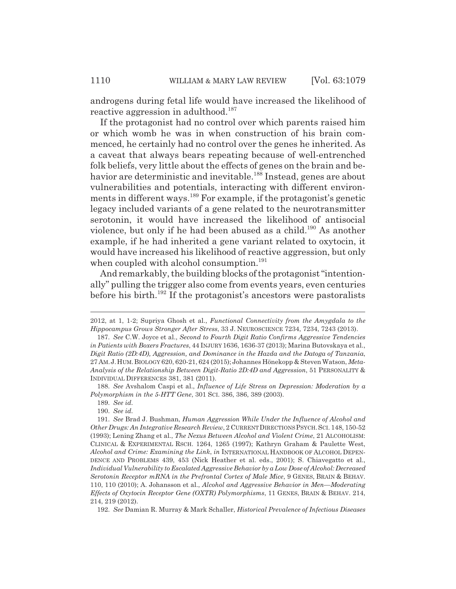androgens during fetal life would have increased the likelihood of reactive aggression in adulthood.<sup>187</sup>

If the protagonist had no control over which parents raised him or which womb he was in when construction of his brain commenced, he certainly had no control over the genes he inherited. As a caveat that always bears repeating because of well-entrenched folk beliefs, very little about the effects of genes on the brain and behavior are deterministic and inevitable.<sup>188</sup> Instead, genes are about vulnerabilities and potentials, interacting with different environments in different ways.<sup>189</sup> For example, if the protagonist's genetic legacy included variants of a gene related to the neurotransmitter serotonin, it would have increased the likelihood of antisocial violence, but only if he had been abused as a child.<sup>190</sup> As another example, if he had inherited a gene variant related to oxytocin, it would have increased his likelihood of reactive aggression, but only when coupled with alcohol consumption.<sup>191</sup>

And remarkably, the building blocks of the protagonist "intentionally" pulling the trigger also come from events years, even centuries before his birth.<sup>192</sup> If the protagonist's ancestors were pastoralists

188. *See* Avshalom Caspi et al., *Influence of Life Stress on Depression: Moderation by a Polymorphism in the 5-HTT Gene*, 301 SCI. 386, 386, 389 (2003).

189. *See id.*

190. *See id.*

<sup>2012,</sup> at 1, 1-2; Supriya Ghosh et al., *Functional Connectivity from the Amygdala to the Hippocampus Grows Stronger After Stress*, 33 J. NEUROSCIENCE 7234, 7234, 7243 (2013).

<sup>187.</sup> *See* C.W. Joyce et al., *Second to Fourth Digit Ratio Confirms Aggressive Tendencies in Patients with Boxers Fractures*, 44 INJURY 1636, 1636-37 (2013); Marina Butovskaya et al., *Digit Ratio (2D:4D), Aggression, and Dominance in the Hazda and the Datoga of Tanzania*, 27 AM.J.HUM.BIOLOGY 620, 620-21, 624 (2015); Johannes Hönekopp & Steven Watson, *Meta-Analysis of the Relationship Between Digit-Ratio 2D:4D and Aggression*, 51 PERSONALITY & INDIVIDUAL DIFFERENCES 381, 381 (2011).

<sup>191.</sup> *See* Brad J. Bushman, *Human Aggression While Under the Influence of Alcohol and Other Drugs: An Integrative Research Review*, 2 CURRENT DIRECTIONS PSYCH.SCI. 148, 150-52 (1993); Lening Zhang et al., *The Nexus Between Alcohol and Violent Crime*, 21 ALCOHOLISM: CLINICAL & EXPERIMENTAL RSCH. 1264, 1265 (1997); Kathryn Graham & Paulette West, *Alcohol and Crime: Examining the Link*, *in* INTERNATIONAL HANDBOOK OF ALCOHOL DEPEN-DENCE AND PROBLEMS 439, 453 (Nick Heather et al. eds., 2001); S. Chiavegatto et al., *Individual Vulnerability to Escalated Aggressive Behavior by a Low Dose of Alcohol: Decreased Serotonin Receptor mRNA in the Prefrontal Cortex of Male Mice*, 9 GENES, BRAIN & BEHAV. 110, 110 (2010); A. Johansson et al., *Alcohol and Aggressive Behavior in Men—Moderating Effects of Oxytocin Receptor Gene (OXTR) Polymorphisms*, 11 GENES, BRAIN & BEHAV. 214, 214, 219 (2012).

<sup>192.</sup> *See* Damian R. Murray & Mark Schaller, *Historical Prevalence of Infectious Diseases*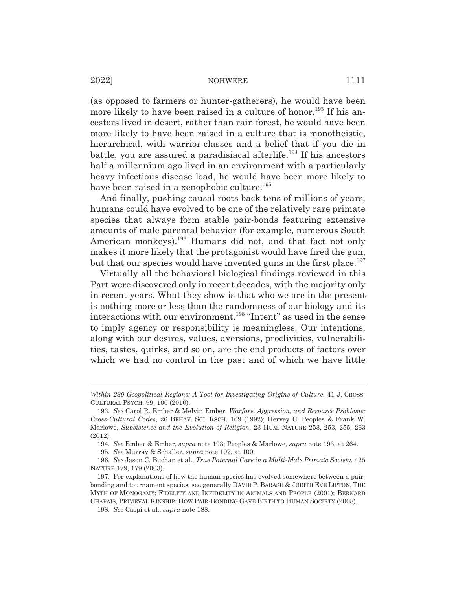(as opposed to farmers or hunter-gatherers), he would have been more likely to have been raised in a culture of honor.<sup>193</sup> If his ancestors lived in desert, rather than rain forest, he would have been more likely to have been raised in a culture that is monotheistic, hierarchical, with warrior-classes and a belief that if you die in battle, you are assured a paradisiacal afterlife.<sup>194</sup> If his ancestors half a millennium ago lived in an environment with a particularly heavy infectious disease load, he would have been more likely to have been raised in a xenophobic culture.<sup>195</sup>

And finally, pushing causal roots back tens of millions of years, humans could have evolved to be one of the relatively rare primate species that always form stable pair-bonds featuring extensive amounts of male parental behavior (for example, numerous South American monkeys).<sup>196</sup> Humans did not, and that fact not only makes it more likely that the protagonist would have fired the gun, but that our species would have invented guns in the first place.<sup>197</sup>

Virtually all the behavioral biological findings reviewed in this Part were discovered only in recent decades, with the majority only in recent years. What they show is that who we are in the present is nothing more or less than the randomness of our biology and its interactions with our environment.198 "Intent" as used in the sense to imply agency or responsibility is meaningless. Our intentions, along with our desires, values, aversions, proclivities, vulnerabilities, tastes, quirks, and so on, are the end products of factors over which we had no control in the past and of which we have little

*Within 230 Geopolitical Regions: A Tool for Investigating Origins of Culture*, 41 J. CROSS-CULTURAL PSYCH. 99, 100 (2010).

<sup>193.</sup> *See* Carol R. Ember & Melvin Ember, *Warfare, Aggression, and Resource Problems: Cross-Cultural Codes*, 26 BEHAV. SCI. RSCH. 169 (1992); Hervey C. Peoples & Frank W. Marlowe, *Subsistence and the Evolution of Religion*, 23 HUM. NATURE 253, 253, 255, 263 (2012).

<sup>194.</sup> *See* Ember & Ember, *supra* note 193; Peoples & Marlowe, *supra* note 193, at 264.

<sup>195.</sup> *See* Murray & Schaller, *supra* note 192, at 100.

<sup>196.</sup> *See* Jason C. Buchan et al., *True Paternal Care in a Multi-Male Primate Society*, 425 NATURE 179, 179 (2003).

<sup>197.</sup> For explanations of how the human species has evolved somewhere between a pairbonding and tournament species, see generally DAVID P. BARASH & JUDITH EVE LIPTON, THE MYTH OF MONOGAMY: FIDELITY AND INFIDELITY IN ANIMALS AND PEOPLE (2001); BERNARD CHAPAIS, PRIMEVAL KINSHIP: HOW PAIR-BONDING GAVE BIRTH TO HUMAN SOCIETY (2008).

<sup>198.</sup> *See* Caspi et al., *supra* note 188.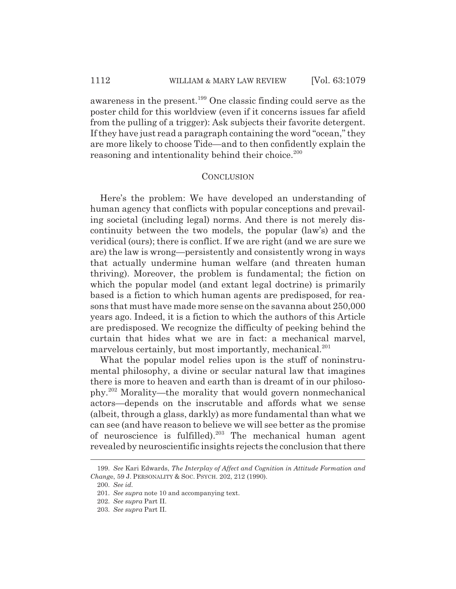## 1112 WILLIAM & MARY LAW REVIEW [Vol. 63:1079]

awareness in the present.199 One classic finding could serve as the poster child for this worldview (even if it concerns issues far afield from the pulling of a trigger): Ask subjects their favorite detergent. If they have just read a paragraph containing the word "ocean," they are more likely to choose Tide—and to then confidently explain the reasoning and intentionality behind their choice.<sup>200</sup>

# **CONCLUSION**

Here's the problem: We have developed an understanding of human agency that conflicts with popular conceptions and prevailing societal (including legal) norms. And there is not merely discontinuity between the two models, the popular (law's) and the veridical (ours); there is conflict. If we are right (and we are sure we are) the law is wrong—persistently and consistently wrong in ways that actually undermine human welfare (and threaten human thriving). Moreover, the problem is fundamental; the fiction on which the popular model (and extant legal doctrine) is primarily based is a fiction to which human agents are predisposed, for reasons that must have made more sense on the savanna about 250,000 years ago. Indeed, it is a fiction to which the authors of this Article are predisposed. We recognize the difficulty of peeking behind the curtain that hides what we are in fact: a mechanical marvel, marvelous certainly, but most importantly, mechanical.<sup>201</sup>

What the popular model relies upon is the stuff of noninstrumental philosophy, a divine or secular natural law that imagines there is more to heaven and earth than is dreamt of in our philosophy.202 Morality—the morality that would govern nonmechanical actors—depends on the inscrutable and affords what we sense (albeit, through a glass, darkly) as more fundamental than what we can see (and have reason to believe we will see better as the promise of neuroscience is fulfilled).203 The mechanical human agent revealed by neuroscientific insights rejects the conclusion that there

<sup>199.</sup> *See* Kari Edwards, *The Interplay of Affect and Cognition in Attitude Formation and Chang*e, 59 J. PERSONALITY & SOC. PSYCH. 202, 212 (1990).

<sup>200.</sup> *See id.*

<sup>201.</sup> *See supra* note 10 and accompanying text.

<sup>202.</sup> *See supra* Part II.

<sup>203.</sup> *See supra* Part II.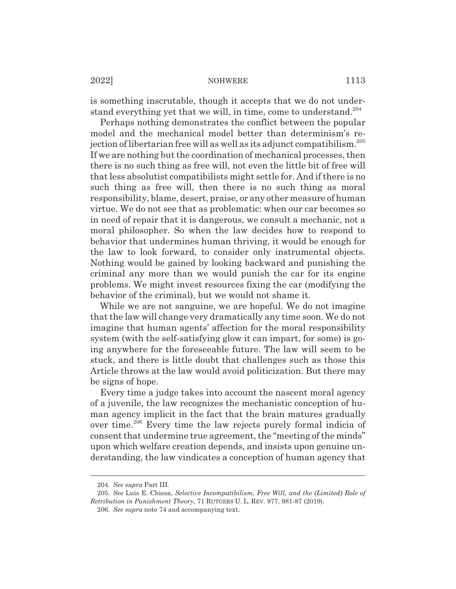is something inscrutable, though it accepts that we do not understand everything yet that we will, in time, come to understand.<sup>204</sup>

Perhaps nothing demonstrates the conflict between the popular model and the mechanical model better than determinism's rejection of libertarian free will as well as its adjunct compatibilism.205 If we are nothing but the coordination of mechanical processes, then there is no such thing as free will, not even the little bit of free will that less absolutist compatibilists might settle for. And if there is no such thing as free will, then there is no such thing as moral responsibility, blame, desert, praise, or any other measure of human virtue. We do not see that as problematic: when our car becomes so in need of repair that it is dangerous, we consult a mechanic, not a moral philosopher. So when the law decides how to respond to behavior that undermines human thriving, it would be enough for the law to look forward, to consider only instrumental objects. Nothing would be gained by looking backward and punishing the criminal any more than we would punish the car for its engine problems. We might invest resources fixing the car (modifying the behavior of the criminal), but we would not shame it.

While we are not sanguine, we are hopeful. We do not imagine that the law will change very dramatically any time soon. We do not imagine that human agents' affection for the moral responsibility system (with the self-satisfying glow it can impart, for some) is going anywhere for the foreseeable future. The law will seem to be stuck, and there is little doubt that challenges such as those this Article throws at the law would avoid politicization. But there may be signs of hope.

Every time a judge takes into account the nascent moral agency of a juvenile, the law recognizes the mechanistic conception of human agency implicit in the fact that the brain matures gradually over time.206 Every time the law rejects purely formal indicia of consent that undermine true agreement, the "meeting of the minds" upon which welfare creation depends, and insists upon genuine understanding, the law vindicates a conception of human agency that

<sup>204.</sup> *See supra* Part III.

<sup>205.</sup> *See* Luis E. Chiesa, *Selective Incompatibilism, Free Will, and the (Limited) Role of Retribution in Punishment Theory*, 71 RUTGERS U. L. REV. 977, 981-87 (2019).

<sup>206.</sup> *See supra* note 74 and accompanying text.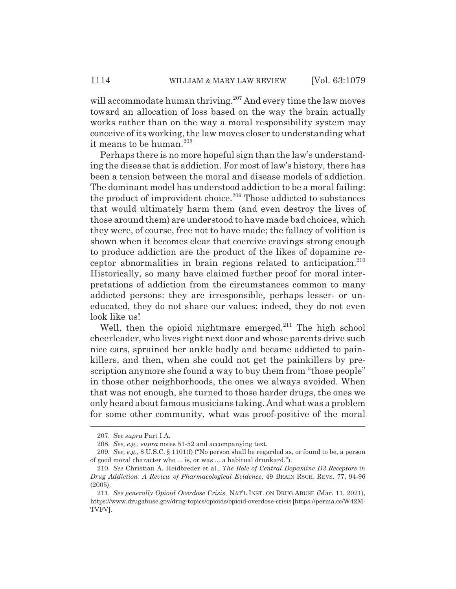will accommodate human thriving.<sup>207</sup> And every time the law moves toward an allocation of loss based on the way the brain actually works rather than on the way a moral responsibility system may conceive of its working, the law moves closer to understanding what it means to be human.<sup>208</sup>

Perhaps there is no more hopeful sign than the law's understanding the disease that is addiction. For most of law's history, there has been a tension between the moral and disease models of addiction. The dominant model has understood addiction to be a moral failing: the product of improvident choice.<sup>209</sup> Those addicted to substances that would ultimately harm them (and even destroy the lives of those around them) are understood to have made bad choices, which they were, of course, free not to have made; the fallacy of volition is shown when it becomes clear that coercive cravings strong enough to produce addiction are the product of the likes of dopamine receptor abnormalities in brain regions related to anticipation. $210$ Historically, so many have claimed further proof for moral interpretations of addiction from the circumstances common to many addicted persons: they are irresponsible, perhaps lesser- or uneducated, they do not share our values; indeed, they do not even look like us!

Well, then the opioid nightmare emerged. $^{211}$  The high school cheerleader, who lives right next door and whose parents drive such nice cars, sprained her ankle badly and became addicted to painkillers, and then, when she could not get the painkillers by prescription anymore she found a way to buy them from "those people" in those other neighborhoods, the ones we always avoided. When that was not enough, she turned to those harder drugs, the ones we only heard about famous musicians taking. And what was a problem for some other community, what was proof-positive of the moral

<sup>207.</sup> *See supra* Part I.A.

<sup>208.</sup> *See, e.g.*, *supra* notes 51-52 and accompanying text.

<sup>209.</sup> *See, e.g.*, 8 U.S.C. § 1101(f) ("No person shall be regarded as, or found to be, a person of good moral character who ... is, or was ... a habitual drunkard.").

<sup>210.</sup> *See* Christian A. Heidbreder et al., *The Role of Central Dopamine D3 Receptors in Drug Addiction: A Review of Pharmacological Evidence*, 49 BRAIN RSCH. REVS. 77, 94-96 (2005).

<sup>211.</sup> *See generally Opioid Overdose Crisis*, NAT'L INST. ON DRUG ABUSE (Mar. 11, 2021), https://www.drugabuse.gov/drug-topics/opioids/opioid-overdose-crisis [https://perma.cc/W42M-TVFV].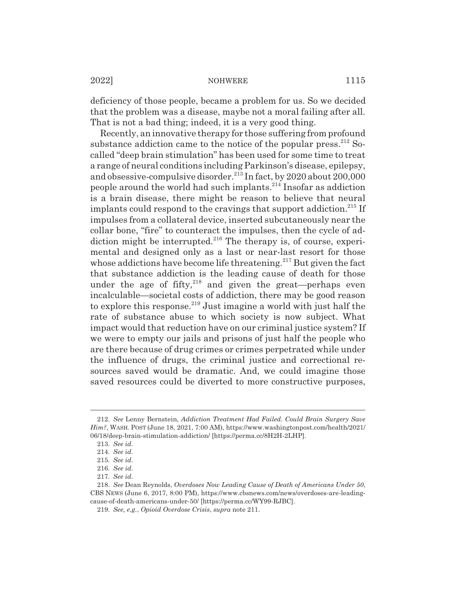deficiency of those people, became a problem for us. So we decided that the problem was a disease, maybe not a moral failing after all. That is not a bad thing; indeed, it is a very good thing.

Recently, an innovative therapy for those suffering from profound substance addiction came to the notice of the popular press.  $2^{12}$  Socalled "deep brain stimulation" has been used for some time to treat a range of neural conditions including Parkinson's disease, epilepsy, and obsessive-compulsive disorder.<sup>213</sup> In fact, by 2020 about 200,000 people around the world had such implants.214 Insofar as addiction is a brain disease, there might be reason to believe that neural implants could respond to the cravings that support addiction.<sup>215</sup> If impulses from a collateral device, inserted subcutaneously near the collar bone, "fire" to counteract the impulses, then the cycle of addiction might be interrupted. $216$  The therapy is, of course, experimental and designed only as a last or near-last resort for those whose addictions have become life threatening.<sup>217</sup> But given the fact that substance addiction is the leading cause of death for those under the age of fifty, $218$  and given the great-perhaps even incalculable—societal costs of addiction, there may be good reason to explore this response.<sup>219</sup> Just imagine a world with just half the rate of substance abuse to which society is now subject. What impact would that reduction have on our criminal justice system? If we were to empty our jails and prisons of just half the people who are there because of drug crimes or crimes perpetrated while under the influence of drugs, the criminal justice and correctional resources saved would be dramatic. And, we could imagine those saved resources could be diverted to more constructive purposes,

<sup>212.</sup> *See* Lenny Bernstein, *Addiction Treatment Had Failed. Could Brain Surgery Save Him?*, WASH. POST (June 18, 2021, 7:00 AM), https://www.washingtonpost.com/health/2021/ 06/18/deep-brain-stimulation-addiction/ [https://perma.cc/8H2H-2LHP].

<sup>213.</sup> *See id.*

<sup>214.</sup> *See id.*

<sup>215.</sup> *See id.*

<sup>216.</sup> *See id.*

<sup>217.</sup> *See id.*

<sup>218.</sup> *See* Dean Reynolds, *Overdoses Now Leading Cause of Death of Americans Under 50*, CBS NEWS (June 6, 2017, 8:00 PM), https://www.cbsnews.com/news/overdoses-are-leadingcause-of-death-americans-under-50/ [https://perma.cc/WY99-RJBC].

<sup>219.</sup> *See, e.g.*, *Opioid Overdose Crisis*, *supra* note 211.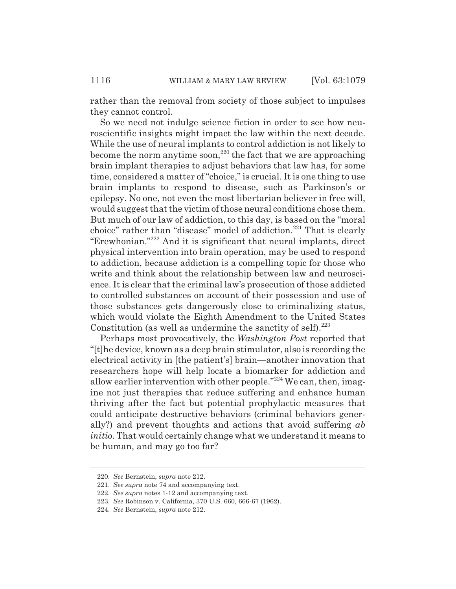rather than the removal from society of those subject to impulses they cannot control.

So we need not indulge science fiction in order to see how neuroscientific insights might impact the law within the next decade. While the use of neural implants to control addiction is not likely to become the norm anytime soon,<sup>220</sup> the fact that we are approaching brain implant therapies to adjust behaviors that law has, for some time, considered a matter of "choice," is crucial. It is one thing to use brain implants to respond to disease, such as Parkinson's or epilepsy. No one, not even the most libertarian believer in free will, would suggest that the victim of those neural conditions chose them. But much of our law of addiction, to this day, is based on the "moral choice" rather than "disease" model of addiction.<sup>221</sup> That is clearly "Erewhonian."222 And it is significant that neural implants, direct physical intervention into brain operation, may be used to respond to addiction, because addiction is a compelling topic for those who write and think about the relationship between law and neuroscience. It is clear that the criminal law's prosecution of those addicted to controlled substances on account of their possession and use of those substances gets dangerously close to criminalizing status, which would violate the Eighth Amendment to the United States Constitution (as well as undermine the sanctity of self). $^{223}$ 

Perhaps most provocatively, the *Washington Post* reported that "[t]he device, known as a deep brain stimulator, also is recording the electrical activity in [the patient's] brain—another innovation that researchers hope will help locate a biomarker for addiction and allow earlier intervention with other people."224 We can, then, imagine not just therapies that reduce suffering and enhance human thriving after the fact but potential prophylactic measures that could anticipate destructive behaviors (criminal behaviors generally?) and prevent thoughts and actions that avoid suffering *ab initio*. That would certainly change what we understand it means to be human, and may go too far?

<sup>220.</sup> *See* Bernstein, *supra* note 212.

<sup>221.</sup> *See supra* note 74 and accompanying text.

<sup>222.</sup> *See supra* notes 1-12 and accompanying text.

<sup>223.</sup> *See* Robinson v. California, 370 U.S. 660, 666-67 (1962).

<sup>224.</sup> *See* Bernstein, *supra* note 212.